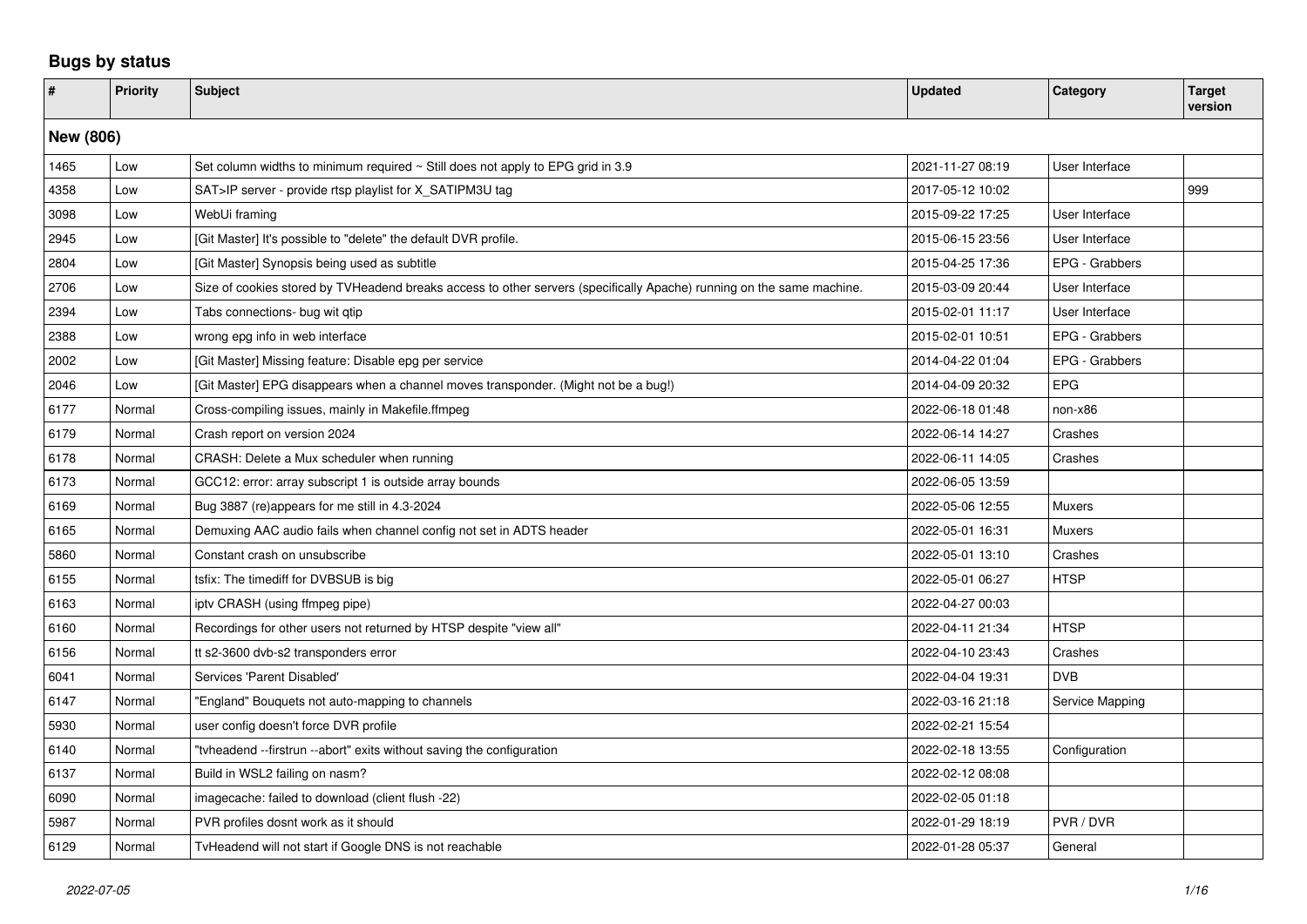## **Bugs by status**

| $\vert$ # | <b>Priority</b> | Subject                                                                                                               | <b>Updated</b>   | Category        | <b>Target</b><br>version |  |  |  |
|-----------|-----------------|-----------------------------------------------------------------------------------------------------------------------|------------------|-----------------|--------------------------|--|--|--|
|           | New (806)       |                                                                                                                       |                  |                 |                          |  |  |  |
| 1465      | Low             | Set column widths to minimum required $\sim$ Still does not apply to EPG grid in 3.9                                  | 2021-11-27 08:19 | User Interface  |                          |  |  |  |
| 4358      | Low             | SAT>IP server - provide rtsp playlist for X_SATIPM3U tag                                                              | 2017-05-12 10:02 |                 | 999                      |  |  |  |
| 3098      | Low             | WebUi framing                                                                                                         | 2015-09-22 17:25 | User Interface  |                          |  |  |  |
| 2945      | Low             | [Git Master] It's possible to "delete" the default DVR profile.                                                       | 2015-06-15 23:56 | User Interface  |                          |  |  |  |
| 2804      | Low             | [Git Master] Synopsis being used as subtitle                                                                          | 2015-04-25 17:36 | EPG - Grabbers  |                          |  |  |  |
| 2706      | Low             | Size of cookies stored by TVHeadend breaks access to other servers (specifically Apache) running on the same machine. | 2015-03-09 20:44 | User Interface  |                          |  |  |  |
| 2394      | Low             | Tabs connections- bug wit qtip                                                                                        | 2015-02-01 11:17 | User Interface  |                          |  |  |  |
| 2388      | Low             | wrong epg info in web interface                                                                                       | 2015-02-01 10:51 | EPG - Grabbers  |                          |  |  |  |
| 2002      | Low             | Git Master] Missing feature: Disable epg per service                                                                  | 2014-04-22 01:04 | EPG - Grabbers  |                          |  |  |  |
| 2046      | Low             | [Git Master] EPG disappears when a channel moves transponder. (Might not be a bug!)                                   | 2014-04-09 20:32 | <b>EPG</b>      |                          |  |  |  |
| 6177      | Normal          | Cross-compiling issues, mainly in Makefile.ffmpeg                                                                     | 2022-06-18 01:48 | non-x86         |                          |  |  |  |
| 6179      | Normal          | Crash report on version 2024                                                                                          | 2022-06-14 14:27 | Crashes         |                          |  |  |  |
| 6178      | Normal          | CRASH: Delete a Mux scheduler when running                                                                            | 2022-06-11 14:05 | Crashes         |                          |  |  |  |
| 6173      | Normal          | GCC12: error: array subscript 1 is outside array bounds                                                               | 2022-06-05 13:59 |                 |                          |  |  |  |
| 6169      | Normal          | Bug 3887 (re)appears for me still in 4.3-2024                                                                         | 2022-05-06 12:55 | <b>Muxers</b>   |                          |  |  |  |
| 6165      | Normal          | Demuxing AAC audio fails when channel config not set in ADTS header                                                   | 2022-05-01 16:31 | <b>Muxers</b>   |                          |  |  |  |
| 5860      | Normal          | Constant crash on unsubscribe                                                                                         | 2022-05-01 13:10 | Crashes         |                          |  |  |  |
| 6155      | Normal          | tsfix: The timediff for DVBSUB is big                                                                                 | 2022-05-01 06:27 | <b>HTSP</b>     |                          |  |  |  |
| 6163      | Normal          | ipty CRASH (using ffmpeg pipe)                                                                                        | 2022-04-27 00:03 |                 |                          |  |  |  |
| 6160      | Normal          | Recordings for other users not returned by HTSP despite "view all"                                                    | 2022-04-11 21:34 | <b>HTSP</b>     |                          |  |  |  |
| 6156      | Normal          | tt s2-3600 dvb-s2 transponders error                                                                                  | 2022-04-10 23:43 | Crashes         |                          |  |  |  |
| 6041      | Normal          | Services 'Parent Disabled'                                                                                            | 2022-04-04 19:31 | <b>DVB</b>      |                          |  |  |  |
| 6147      | Normal          | "England" Bouquets not auto-mapping to channels                                                                       | 2022-03-16 21:18 | Service Mapping |                          |  |  |  |
| 5930      | Normal          | user config doesn't force DVR profile                                                                                 | 2022-02-21 15:54 |                 |                          |  |  |  |
| 6140      | Normal          | "tyheadend --firstrun --abort" exits without saving the configuration                                                 | 2022-02-18 13:55 | Configuration   |                          |  |  |  |
| 6137      | Normal          | Build in WSL2 failing on nasm?                                                                                        | 2022-02-12 08:08 |                 |                          |  |  |  |
| 6090      | Normal          | imagecache: failed to download (client flush -22)                                                                     | 2022-02-05 01:18 |                 |                          |  |  |  |
| 5987      | Normal          | PVR profiles dosnt work as it should                                                                                  | 2022-01-29 18:19 | PVR / DVR       |                          |  |  |  |
| 6129      | Normal          | TyHeadend will not start if Google DNS is not reachable                                                               | 2022-01-28 05:37 | General         |                          |  |  |  |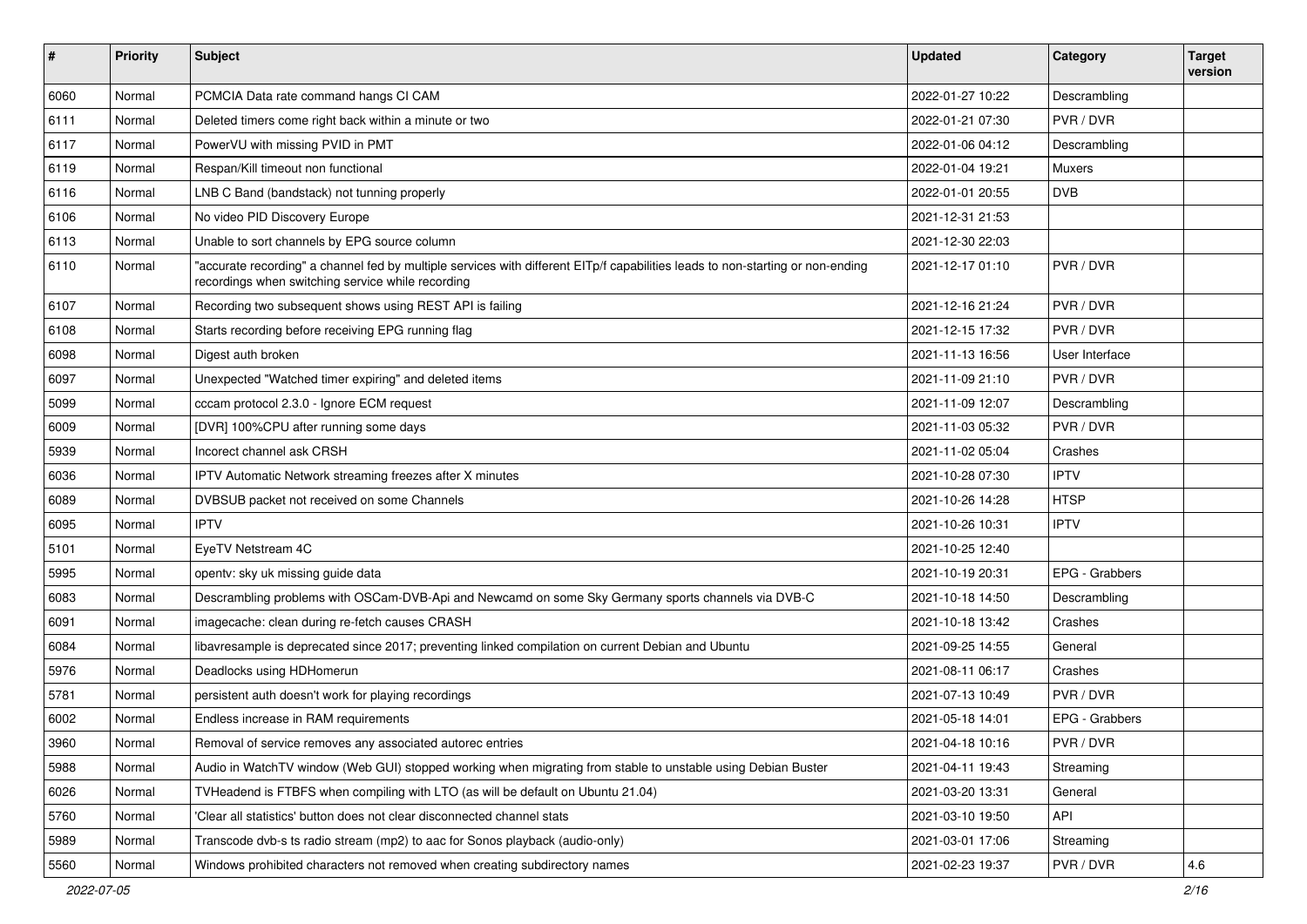| $\sharp$ | <b>Priority</b> | <b>Subject</b>                                                                                                                                                                      | <b>Updated</b>   | Category       | <b>Target</b><br>version |
|----------|-----------------|-------------------------------------------------------------------------------------------------------------------------------------------------------------------------------------|------------------|----------------|--------------------------|
| 6060     | Normal          | PCMCIA Data rate command hangs CI CAM                                                                                                                                               | 2022-01-27 10:22 | Descrambling   |                          |
| 6111     | Normal          | Deleted timers come right back within a minute or two                                                                                                                               | 2022-01-21 07:30 | PVR/DVR        |                          |
| 6117     | Normal          | PowerVU with missing PVID in PMT                                                                                                                                                    | 2022-01-06 04:12 | Descrambling   |                          |
| 6119     | Normal          | Respan/Kill timeout non functional                                                                                                                                                  | 2022-01-04 19:21 | Muxers         |                          |
| 6116     | Normal          | LNB C Band (bandstack) not tunning properly                                                                                                                                         | 2022-01-01 20:55 | <b>DVB</b>     |                          |
| 6106     | Normal          | No video PID Discovery Europe                                                                                                                                                       | 2021-12-31 21:53 |                |                          |
| 6113     | Normal          | Unable to sort channels by EPG source column                                                                                                                                        | 2021-12-30 22:03 |                |                          |
| 6110     | Normal          | "accurate recording" a channel fed by multiple services with different EITp/f capabilities leads to non-starting or non-ending<br>recordings when switching service while recording | 2021-12-17 01:10 | PVR / DVR      |                          |
| 6107     | Normal          | Recording two subsequent shows using REST API is failing                                                                                                                            | 2021-12-16 21:24 | PVR/DVR        |                          |
| 6108     | Normal          | Starts recording before receiving EPG running flag                                                                                                                                  | 2021-12-15 17:32 | PVR / DVR      |                          |
| 6098     | Normal          | Digest auth broken                                                                                                                                                                  | 2021-11-13 16:56 | User Interface |                          |
| 6097     | Normal          | Unexpected "Watched timer expiring" and deleted items                                                                                                                               | 2021-11-09 21:10 | PVR / DVR      |                          |
| 5099     | Normal          | cccam protocol 2.3.0 - Ignore ECM request                                                                                                                                           | 2021-11-09 12:07 | Descrambling   |                          |
| 6009     | Normal          | [DVR] 100%CPU after running some days                                                                                                                                               | 2021-11-03 05:32 | PVR / DVR      |                          |
| 5939     | Normal          | Incorect channel ask CRSH                                                                                                                                                           | 2021-11-02 05:04 | Crashes        |                          |
| 6036     | Normal          | IPTV Automatic Network streaming freezes after X minutes                                                                                                                            | 2021-10-28 07:30 | <b>IPTV</b>    |                          |
| 6089     | Normal          | DVBSUB packet not received on some Channels                                                                                                                                         | 2021-10-26 14:28 | <b>HTSP</b>    |                          |
| 6095     | Normal          | <b>IPTV</b>                                                                                                                                                                         | 2021-10-26 10:31 | <b>IPTV</b>    |                          |
| 5101     | Normal          | EyeTV Netstream 4C                                                                                                                                                                  | 2021-10-25 12:40 |                |                          |
| 5995     | Normal          | opentv: sky uk missing guide data                                                                                                                                                   | 2021-10-19 20:31 | EPG - Grabbers |                          |
| 6083     | Normal          | Descrambling problems with OSCam-DVB-Api and Newcamd on some Sky Germany sports channels via DVB-C                                                                                  | 2021-10-18 14:50 | Descrambling   |                          |
| 6091     | Normal          | imagecache: clean during re-fetch causes CRASH                                                                                                                                      | 2021-10-18 13:42 | Crashes        |                          |
| 6084     | Normal          | libavresample is deprecated since 2017; preventing linked compilation on current Debian and Ubuntu                                                                                  | 2021-09-25 14:55 | General        |                          |
| 5976     | Normal          | Deadlocks using HDHomerun                                                                                                                                                           | 2021-08-11 06:17 | Crashes        |                          |
| 5781     | Normal          | persistent auth doesn't work for playing recordings                                                                                                                                 | 2021-07-13 10:49 | PVR / DVR      |                          |
| 6002     | Normal          | Endless increase in RAM requirements                                                                                                                                                | 2021-05-18 14:01 | EPG - Grabbers |                          |
| 3960     | Normal          | Removal of service removes any associated autorec entries                                                                                                                           | 2021-04-18 10:16 | PVR / DVR      |                          |
| 5988     | Normal          | Audio in WatchTV window (Web GUI) stopped working when migrating from stable to unstable using Debian Buster                                                                        | 2021-04-11 19:43 | Streaming      |                          |
| 6026     | Normal          | TVHeadend is FTBFS when compiling with LTO (as will be default on Ubuntu 21.04)                                                                                                     | 2021-03-20 13:31 | General        |                          |
| 5760     | Normal          | 'Clear all statistics' button does not clear disconnected channel stats                                                                                                             | 2021-03-10 19:50 | API            |                          |
| 5989     | Normal          | Transcode dvb-s ts radio stream (mp2) to aac for Sonos playback (audio-only)                                                                                                        | 2021-03-01 17:06 | Streaming      |                          |
| 5560     | Normal          | Windows prohibited characters not removed when creating subdirectory names                                                                                                          | 2021-02-23 19:37 | PVR / DVR      | 4.6                      |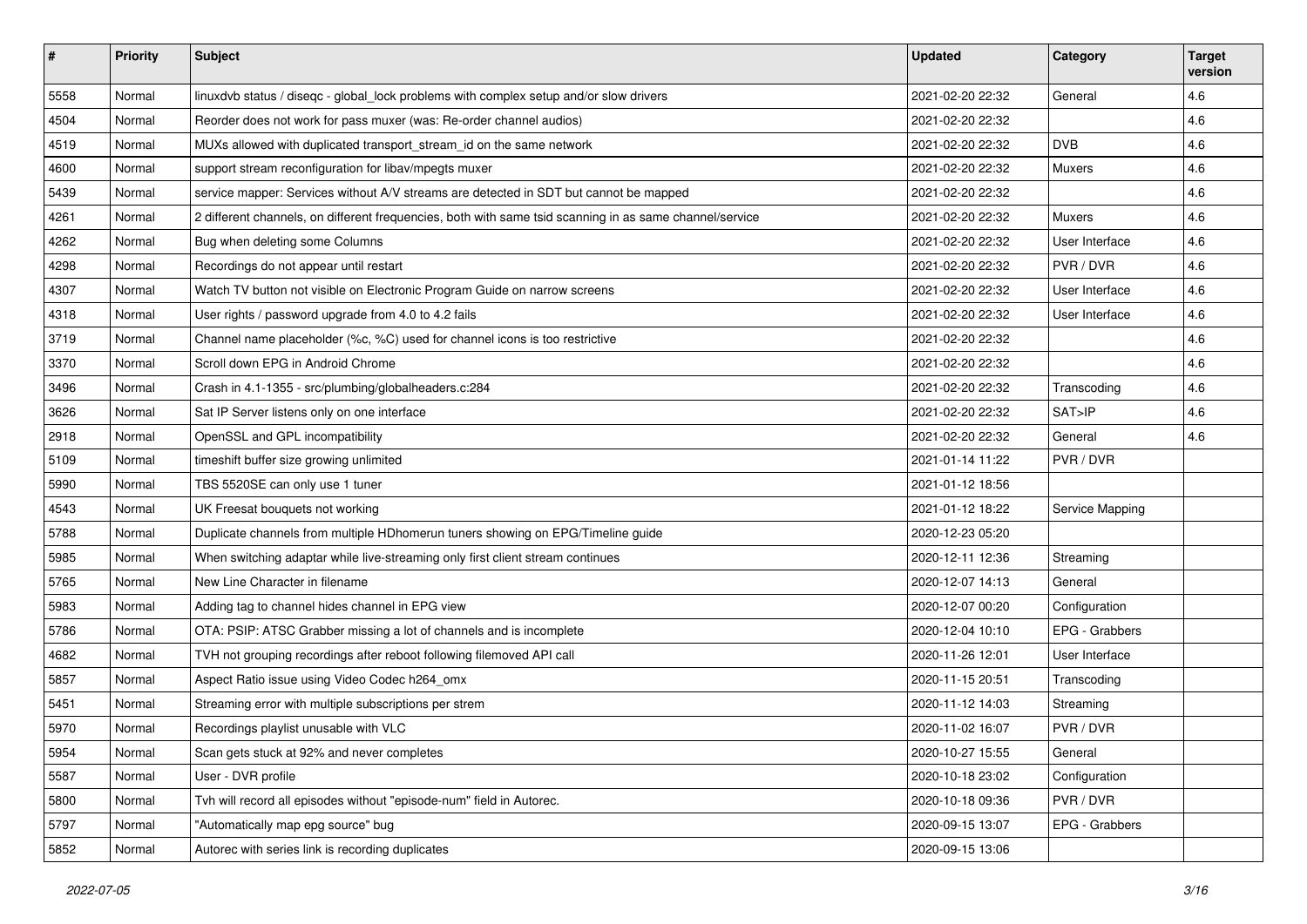| #    | <b>Priority</b> | <b>Subject</b>                                                                                          | <b>Updated</b>   | Category        | Target<br>version |
|------|-----------------|---------------------------------------------------------------------------------------------------------|------------------|-----------------|-------------------|
| 5558 | Normal          | linuxdvb status / diseqc - global_lock problems with complex setup and/or slow drivers                  | 2021-02-20 22:32 | General         | 4.6               |
| 4504 | Normal          | Reorder does not work for pass muxer (was: Re-order channel audios)                                     | 2021-02-20 22:32 |                 | 4.6               |
| 4519 | Normal          | MUXs allowed with duplicated transport_stream_id on the same network                                    | 2021-02-20 22:32 | <b>DVB</b>      | 4.6               |
| 4600 | Normal          | support stream reconfiguration for libav/mpegts muxer                                                   | 2021-02-20 22:32 | Muxers          | 4.6               |
| 5439 | Normal          | service mapper: Services without A/V streams are detected in SDT but cannot be mapped                   | 2021-02-20 22:32 |                 | 4.6               |
| 4261 | Normal          | 2 different channels, on different frequencies, both with same tsid scanning in as same channel/service | 2021-02-20 22:32 | <b>Muxers</b>   | 4.6               |
| 4262 | Normal          | Bug when deleting some Columns                                                                          | 2021-02-20 22:32 | User Interface  | 4.6               |
| 4298 | Normal          | Recordings do not appear until restart                                                                  | 2021-02-20 22:32 | PVR / DVR       | 4.6               |
| 4307 | Normal          | Watch TV button not visible on Electronic Program Guide on narrow screens                               | 2021-02-20 22:32 | User Interface  | 4.6               |
| 4318 | Normal          | User rights / password upgrade from 4.0 to 4.2 fails                                                    | 2021-02-20 22:32 | User Interface  | 4.6               |
| 3719 | Normal          | Channel name placeholder (%c, %C) used for channel icons is too restrictive                             | 2021-02-20 22:32 |                 | 4.6               |
| 3370 | Normal          | Scroll down EPG in Android Chrome                                                                       | 2021-02-20 22:32 |                 | 4.6               |
| 3496 | Normal          | Crash in 4.1-1355 - src/plumbing/globalheaders.c:284                                                    | 2021-02-20 22:32 | Transcoding     | 4.6               |
| 3626 | Normal          | Sat IP Server listens only on one interface                                                             | 2021-02-20 22:32 | SAT>IP          | 4.6               |
| 2918 | Normal          | OpenSSL and GPL incompatibility                                                                         | 2021-02-20 22:32 | General         | 4.6               |
| 5109 | Normal          | timeshift buffer size growing unlimited                                                                 | 2021-01-14 11:22 | PVR/DVR         |                   |
| 5990 | Normal          | TBS 5520SE can only use 1 tuner                                                                         | 2021-01-12 18:56 |                 |                   |
| 4543 | Normal          | UK Freesat bouquets not working                                                                         | 2021-01-12 18:22 | Service Mapping |                   |
| 5788 | Normal          | Duplicate channels from multiple HDhomerun tuners showing on EPG/Timeline guide                         | 2020-12-23 05:20 |                 |                   |
| 5985 | Normal          | When switching adaptar while live-streaming only first client stream continues                          | 2020-12-11 12:36 | Streaming       |                   |
| 5765 | Normal          | New Line Character in filename                                                                          | 2020-12-07 14:13 | General         |                   |
| 5983 | Normal          | Adding tag to channel hides channel in EPG view                                                         | 2020-12-07 00:20 | Configuration   |                   |
| 5786 | Normal          | OTA: PSIP: ATSC Grabber missing a lot of channels and is incomplete                                     | 2020-12-04 10:10 | EPG - Grabbers  |                   |
| 4682 | Normal          | TVH not grouping recordings after reboot following filemoved API call                                   | 2020-11-26 12:01 | User Interface  |                   |
| 5857 | Normal          | Aspect Ratio issue using Video Codec h264_omx                                                           | 2020-11-15 20:51 | Transcoding     |                   |
| 5451 | Normal          | Streaming error with multiple subscriptions per strem                                                   | 2020-11-12 14:03 | Streaming       |                   |
| 5970 | Normal          | Recordings playlist unusable with VLC                                                                   | 2020-11-02 16:07 | PVR / DVR       |                   |
| 5954 | Normal          | Scan gets stuck at 92% and never completes                                                              | 2020-10-27 15:55 | General         |                   |
| 5587 | Normal          | User - DVR profile                                                                                      | 2020-10-18 23:02 | Configuration   |                   |
| 5800 | Normal          | Tvh will record all episodes without "episode-num" field in Autorec.                                    | 2020-10-18 09:36 | PVR / DVR       |                   |
| 5797 | Normal          | "Automatically map epg source" bug                                                                      | 2020-09-15 13:07 | EPG - Grabbers  |                   |
| 5852 | Normal          | Autorec with series link is recording duplicates                                                        | 2020-09-15 13:06 |                 |                   |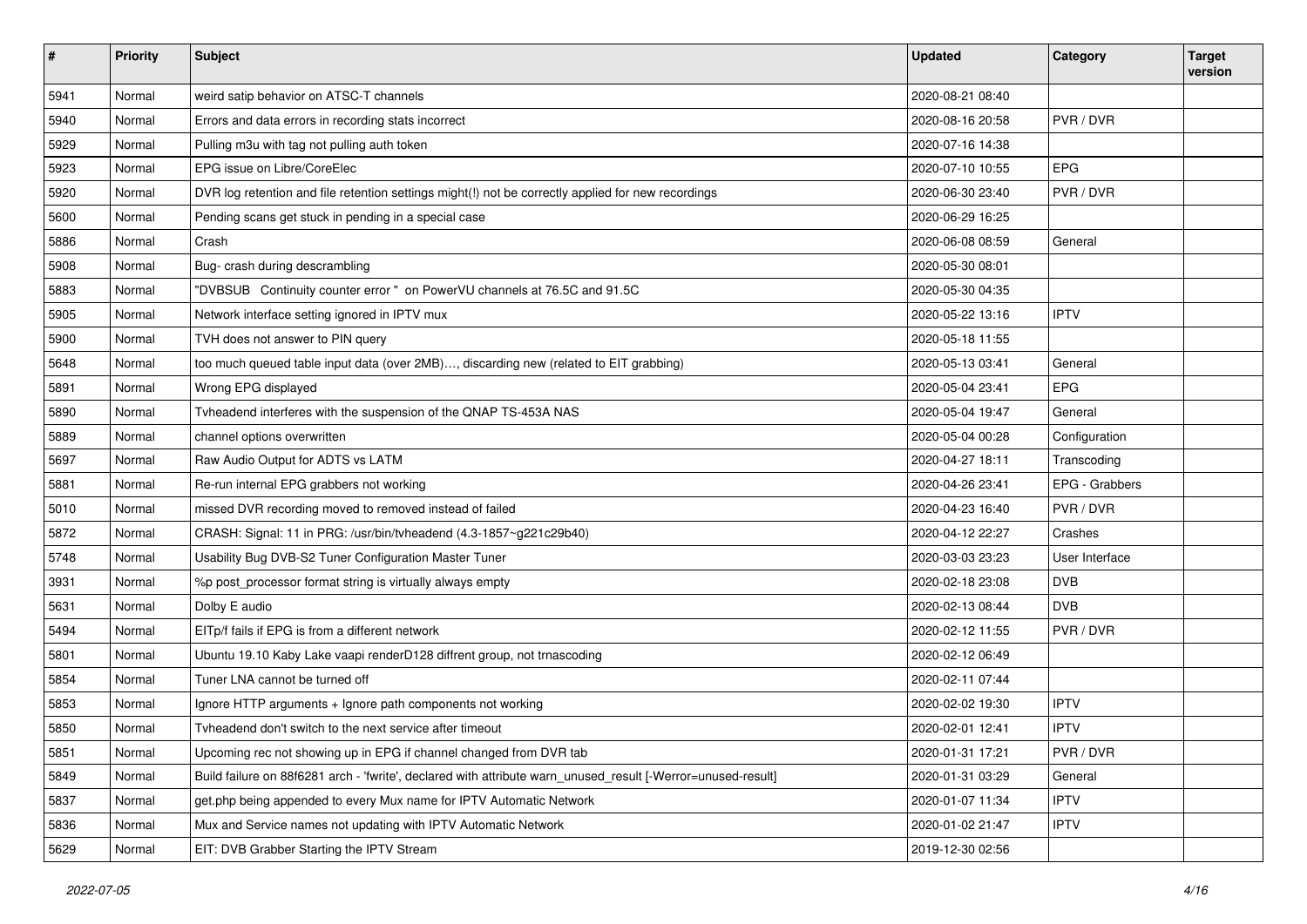| #    | <b>Priority</b> | <b>Subject</b>                                                                                               | <b>Updated</b>   | <b>Category</b> | <b>Target</b><br>version |
|------|-----------------|--------------------------------------------------------------------------------------------------------------|------------------|-----------------|--------------------------|
| 5941 | Normal          | weird satip behavior on ATSC-T channels                                                                      | 2020-08-21 08:40 |                 |                          |
| 5940 | Normal          | Errors and data errors in recording stats incorrect                                                          | 2020-08-16 20:58 | PVR / DVR       |                          |
| 5929 | Normal          | Pulling m3u with tag not pulling auth token                                                                  | 2020-07-16 14:38 |                 |                          |
| 5923 | Normal          | EPG issue on Libre/CoreElec                                                                                  | 2020-07-10 10:55 | <b>EPG</b>      |                          |
| 5920 | Normal          | DVR log retention and file retention settings might(!) not be correctly applied for new recordings           | 2020-06-30 23:40 | PVR / DVR       |                          |
| 5600 | Normal          | Pending scans get stuck in pending in a special case                                                         | 2020-06-29 16:25 |                 |                          |
| 5886 | Normal          | Crash                                                                                                        | 2020-06-08 08:59 | General         |                          |
| 5908 | Normal          | Bug- crash during descrambling                                                                               | 2020-05-30 08:01 |                 |                          |
| 5883 | Normal          | "DVBSUB Continuity counter error " on PowerVU channels at 76.5C and 91.5C                                    | 2020-05-30 04:35 |                 |                          |
| 5905 | Normal          | Network interface setting ignored in IPTV mux                                                                | 2020-05-22 13:16 | <b>IPTV</b>     |                          |
| 5900 | Normal          | TVH does not answer to PIN query                                                                             | 2020-05-18 11:55 |                 |                          |
| 5648 | Normal          | too much queued table input data (over 2MB), discarding new (related to EIT grabbing)                        | 2020-05-13 03:41 | General         |                          |
| 5891 | Normal          | Wrong EPG displayed                                                                                          | 2020-05-04 23:41 | <b>EPG</b>      |                          |
| 5890 | Normal          | Tvheadend interferes with the suspension of the QNAP TS-453A NAS                                             | 2020-05-04 19:47 | General         |                          |
| 5889 | Normal          | channel options overwritten                                                                                  | 2020-05-04 00:28 | Configuration   |                          |
| 5697 | Normal          | Raw Audio Output for ADTS vs LATM                                                                            | 2020-04-27 18:11 | Transcoding     |                          |
| 5881 | Normal          | Re-run internal EPG grabbers not working                                                                     | 2020-04-26 23:41 | EPG - Grabbers  |                          |
| 5010 | Normal          | missed DVR recording moved to removed instead of failed                                                      | 2020-04-23 16:40 | PVR / DVR       |                          |
| 5872 | Normal          | CRASH: Signal: 11 in PRG: /usr/bin/tvheadend (4.3-1857~g221c29b40)                                           | 2020-04-12 22:27 | Crashes         |                          |
| 5748 | Normal          | Usability Bug DVB-S2 Tuner Configuration Master Tuner                                                        | 2020-03-03 23:23 | User Interface  |                          |
| 3931 | Normal          | %p post_processor format string is virtually always empty                                                    | 2020-02-18 23:08 | <b>DVB</b>      |                          |
| 5631 | Normal          | Dolby E audio                                                                                                | 2020-02-13 08:44 | <b>DVB</b>      |                          |
| 5494 | Normal          | EITp/f fails if EPG is from a different network                                                              | 2020-02-12 11:55 | PVR / DVR       |                          |
| 5801 | Normal          | Ubuntu 19.10 Kaby Lake vaapi renderD128 diffrent group, not trnascoding                                      | 2020-02-12 06:49 |                 |                          |
| 5854 | Normal          | Tuner LNA cannot be turned off                                                                               | 2020-02-11 07:44 |                 |                          |
| 5853 | Normal          | Ignore HTTP arguments + Ignore path components not working                                                   | 2020-02-02 19:30 | <b>IPTV</b>     |                          |
| 5850 | Normal          | Tyheadend don't switch to the next service after timeout                                                     | 2020-02-01 12:41 | <b>IPTV</b>     |                          |
| 5851 | Normal          | Upcoming rec not showing up in EPG if channel changed from DVR tab                                           | 2020-01-31 17:21 | PVR / DVR       |                          |
| 5849 | Normal          | Build failure on 88f6281 arch - 'fwrite', declared with attribute warn_unused_result [-Werror=unused-result] | 2020-01-31 03:29 | General         |                          |
| 5837 | Normal          | get.php being appended to every Mux name for IPTV Automatic Network                                          | 2020-01-07 11:34 | <b>IPTV</b>     |                          |
| 5836 | Normal          | Mux and Service names not updating with IPTV Automatic Network                                               | 2020-01-02 21:47 | <b>IPTV</b>     |                          |
| 5629 | Normal          | EIT: DVB Grabber Starting the IPTV Stream                                                                    | 2019-12-30 02:56 |                 |                          |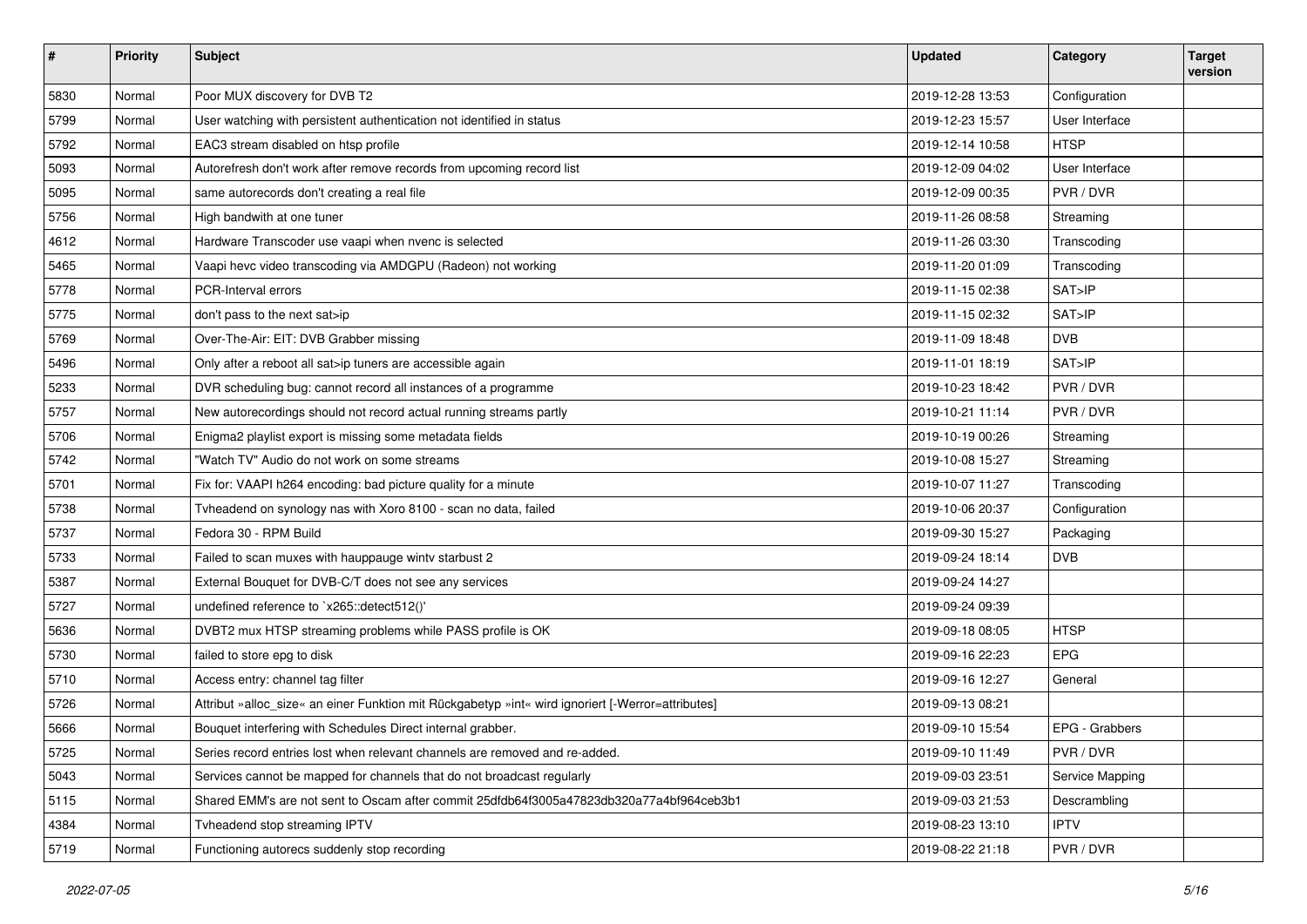| $\vert$ # | <b>Priority</b> | <b>Subject</b>                                                                                    | <b>Updated</b>   | Category        | <b>Target</b><br>version |
|-----------|-----------------|---------------------------------------------------------------------------------------------------|------------------|-----------------|--------------------------|
| 5830      | Normal          | Poor MUX discovery for DVB T2                                                                     | 2019-12-28 13:53 | Configuration   |                          |
| 5799      | Normal          | User watching with persistent authentication not identified in status                             | 2019-12-23 15:57 | User Interface  |                          |
| 5792      | Normal          | EAC3 stream disabled on htsp profile                                                              | 2019-12-14 10:58 | <b>HTSP</b>     |                          |
| 5093      | Normal          | Autorefresh don't work after remove records from upcoming record list                             | 2019-12-09 04:02 | User Interface  |                          |
| 5095      | Normal          | same autorecords don't creating a real file                                                       | 2019-12-09 00:35 | PVR / DVR       |                          |
| 5756      | Normal          | High bandwith at one tuner                                                                        | 2019-11-26 08:58 | Streaming       |                          |
| 4612      | Normal          | Hardware Transcoder use vaapi when nvenc is selected                                              | 2019-11-26 03:30 | Transcoding     |                          |
| 5465      | Normal          | Vaapi hevc video transcoding via AMDGPU (Radeon) not working                                      | 2019-11-20 01:09 | Transcoding     |                          |
| 5778      | Normal          | PCR-Interval errors                                                                               | 2019-11-15 02:38 | SAT>IP          |                          |
| 5775      | Normal          | don't pass to the next sat>ip                                                                     | 2019-11-15 02:32 | SAT>IP          |                          |
| 5769      | Normal          | Over-The-Air: EIT: DVB Grabber missing                                                            | 2019-11-09 18:48 | <b>DVB</b>      |                          |
| 5496      | Normal          | Only after a reboot all sat>ip tuners are accessible again                                        | 2019-11-01 18:19 | SAT>IP          |                          |
| 5233      | Normal          | DVR scheduling bug: cannot record all instances of a programme                                    | 2019-10-23 18:42 | PVR / DVR       |                          |
| 5757      | Normal          | New autorecordings should not record actual running streams partly                                | 2019-10-21 11:14 | PVR / DVR       |                          |
| 5706      | Normal          | Enigma2 playlist export is missing some metadata fields                                           | 2019-10-19 00:26 | Streaming       |                          |
| 5742      | Normal          | "Watch TV" Audio do not work on some streams                                                      | 2019-10-08 15:27 | Streaming       |                          |
| 5701      | Normal          | Fix for: VAAPI h264 encoding: bad picture quality for a minute                                    | 2019-10-07 11:27 | Transcoding     |                          |
| 5738      | Normal          | Tvheadend on synology nas with Xoro 8100 - scan no data, failed                                   | 2019-10-06 20:37 | Configuration   |                          |
| 5737      | Normal          | Fedora 30 - RPM Build                                                                             | 2019-09-30 15:27 | Packaging       |                          |
| 5733      | Normal          | Failed to scan muxes with hauppauge wintv starbust 2                                              | 2019-09-24 18:14 | <b>DVB</b>      |                          |
| 5387      | Normal          | External Bouquet for DVB-C/T does not see any services                                            | 2019-09-24 14:27 |                 |                          |
| 5727      | Normal          | undefined reference to `x265::detect512()'                                                        | 2019-09-24 09:39 |                 |                          |
| 5636      | Normal          | DVBT2 mux HTSP streaming problems while PASS profile is OK                                        | 2019-09-18 08:05 | <b>HTSP</b>     |                          |
| 5730      | Normal          | failed to store epg to disk                                                                       | 2019-09-16 22:23 | EPG             |                          |
| 5710      | Normal          | Access entry: channel tag filter                                                                  | 2019-09-16 12:27 | General         |                          |
| 5726      | Normal          | Attribut »alloc_size« an einer Funktion mit Rückgabetyp »int« wird ignoriert [-Werror=attributes] | 2019-09-13 08:21 |                 |                          |
| 5666      | Normal          | Bouquet interfering with Schedules Direct internal grabber.                                       | 2019-09-10 15:54 | EPG - Grabbers  |                          |
| 5725      | Normal          | Series record entries lost when relevant channels are removed and re-added.                       | 2019-09-10 11:49 | PVR / DVR       |                          |
| 5043      | Normal          | Services cannot be mapped for channels that do not broadcast regularly                            | 2019-09-03 23:51 | Service Mapping |                          |
| 5115      | Normal          | Shared EMM's are not sent to Oscam after commit 25dfdb64f3005a47823db320a77a4bf964ceb3b1          | 2019-09-03 21:53 | Descrambling    |                          |
| 4384      | Normal          | Tvheadend stop streaming IPTV                                                                     | 2019-08-23 13:10 | <b>IPTV</b>     |                          |
| 5719      | Normal          | Functioning autorecs suddenly stop recording                                                      | 2019-08-22 21:18 | PVR / DVR       |                          |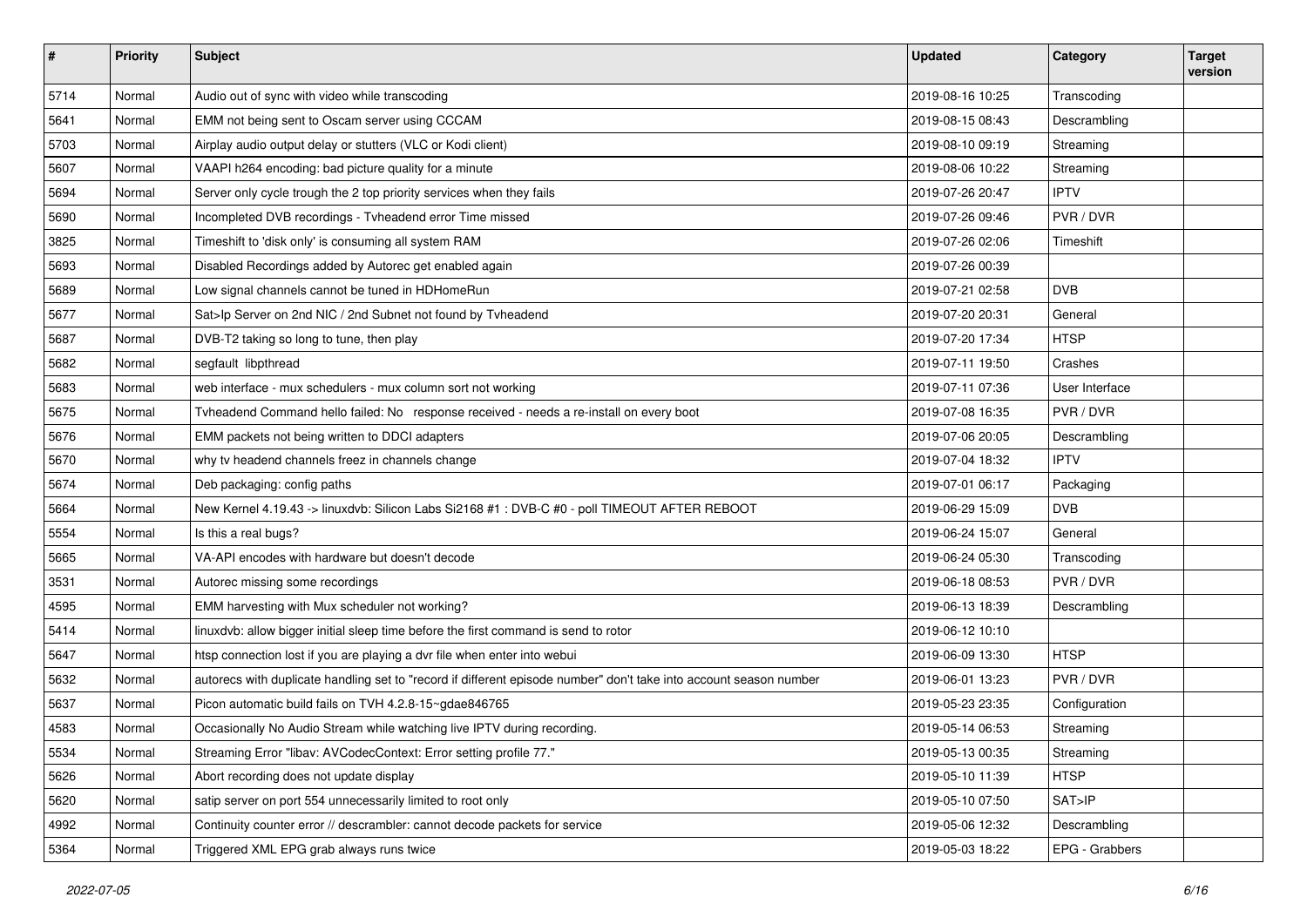| $\vert$ # | <b>Priority</b> | <b>Subject</b>                                                                                                     | <b>Updated</b>   | Category       | <b>Target</b><br>version |
|-----------|-----------------|--------------------------------------------------------------------------------------------------------------------|------------------|----------------|--------------------------|
| 5714      | Normal          | Audio out of sync with video while transcoding                                                                     | 2019-08-16 10:25 | Transcoding    |                          |
| 5641      | Normal          | EMM not being sent to Oscam server using CCCAM                                                                     | 2019-08-15 08:43 | Descrambling   |                          |
| 5703      | Normal          | Airplay audio output delay or stutters (VLC or Kodi client)                                                        | 2019-08-10 09:19 | Streaming      |                          |
| 5607      | Normal          | VAAPI h264 encoding: bad picture quality for a minute                                                              | 2019-08-06 10:22 | Streaming      |                          |
| 5694      | Normal          | Server only cycle trough the 2 top priority services when they fails                                               | 2019-07-26 20:47 | <b>IPTV</b>    |                          |
| 5690      | Normal          | Incompleted DVB recordings - Tvheadend error Time missed                                                           | 2019-07-26 09:46 | PVR/DVR        |                          |
| 3825      | Normal          | Timeshift to 'disk only' is consuming all system RAM                                                               | 2019-07-26 02:06 | Timeshift      |                          |
| 5693      | Normal          | Disabled Recordings added by Autorec get enabled again                                                             | 2019-07-26 00:39 |                |                          |
| 5689      | Normal          | Low signal channels cannot be tuned in HDHomeRun                                                                   | 2019-07-21 02:58 | <b>DVB</b>     |                          |
| 5677      | Normal          | Sat>Ip Server on 2nd NIC / 2nd Subnet not found by Tvheadend                                                       | 2019-07-20 20:31 | General        |                          |
| 5687      | Normal          | DVB-T2 taking so long to tune, then play                                                                           | 2019-07-20 17:34 | <b>HTSP</b>    |                          |
| 5682      | Normal          | segfault libpthread                                                                                                | 2019-07-11 19:50 | Crashes        |                          |
| 5683      | Normal          | web interface - mux schedulers - mux column sort not working                                                       | 2019-07-11 07:36 | User Interface |                          |
| 5675      | Normal          | Tvheadend Command hello failed: No response received - needs a re-install on every boot                            | 2019-07-08 16:35 | PVR / DVR      |                          |
| 5676      | Normal          | EMM packets not being written to DDCI adapters                                                                     | 2019-07-06 20:05 | Descrambling   |                          |
| 5670      | Normal          | why tv headend channels freez in channels change                                                                   | 2019-07-04 18:32 | <b>IPTV</b>    |                          |
| 5674      | Normal          | Deb packaging: config paths                                                                                        | 2019-07-01 06:17 | Packaging      |                          |
| 5664      | Normal          | New Kernel 4.19.43 -> linuxdvb: Silicon Labs Si2168 #1 : DVB-C #0 - poll TIMEOUT AFTER REBOOT                      | 2019-06-29 15:09 | <b>DVB</b>     |                          |
| 5554      | Normal          | Is this a real bugs?                                                                                               | 2019-06-24 15:07 | General        |                          |
| 5665      | Normal          | VA-API encodes with hardware but doesn't decode                                                                    | 2019-06-24 05:30 | Transcoding    |                          |
| 3531      | Normal          | Autorec missing some recordings                                                                                    | 2019-06-18 08:53 | PVR / DVR      |                          |
| 4595      | Normal          | EMM harvesting with Mux scheduler not working?                                                                     | 2019-06-13 18:39 | Descrambling   |                          |
| 5414      | Normal          | linuxdvb: allow bigger initial sleep time before the first command is send to rotor                                | 2019-06-12 10:10 |                |                          |
| 5647      | Normal          | htsp connection lost if you are playing a dvr file when enter into webui                                           | 2019-06-09 13:30 | <b>HTSP</b>    |                          |
| 5632      | Normal          | autorecs with duplicate handling set to "record if different episode number" don't take into account season number | 2019-06-01 13:23 | PVR / DVR      |                          |
| 5637      | Normal          | Picon automatic build fails on TVH 4.2.8-15~gdae846765                                                             | 2019-05-23 23:35 | Configuration  |                          |
| 4583      | Normal          | Occasionally No Audio Stream while watching live IPTV during recording.                                            | 2019-05-14 06:53 | Streaming      |                          |
| 5534      | Normal          | Streaming Error "libav: AVCodecContext: Error setting profile 77."                                                 | 2019-05-13 00:35 | Streaming      |                          |
| 5626      | Normal          | Abort recording does not update display                                                                            | 2019-05-10 11:39 | <b>HTSP</b>    |                          |
| 5620      | Normal          | satip server on port 554 unnecessarily limited to root only                                                        | 2019-05-10 07:50 | SAT>IP         |                          |
| 4992      | Normal          | Continuity counter error // descrambler: cannot decode packets for service                                         | 2019-05-06 12:32 | Descrambling   |                          |
| 5364      | Normal          | Triggered XML EPG grab always runs twice                                                                           | 2019-05-03 18:22 | EPG - Grabbers |                          |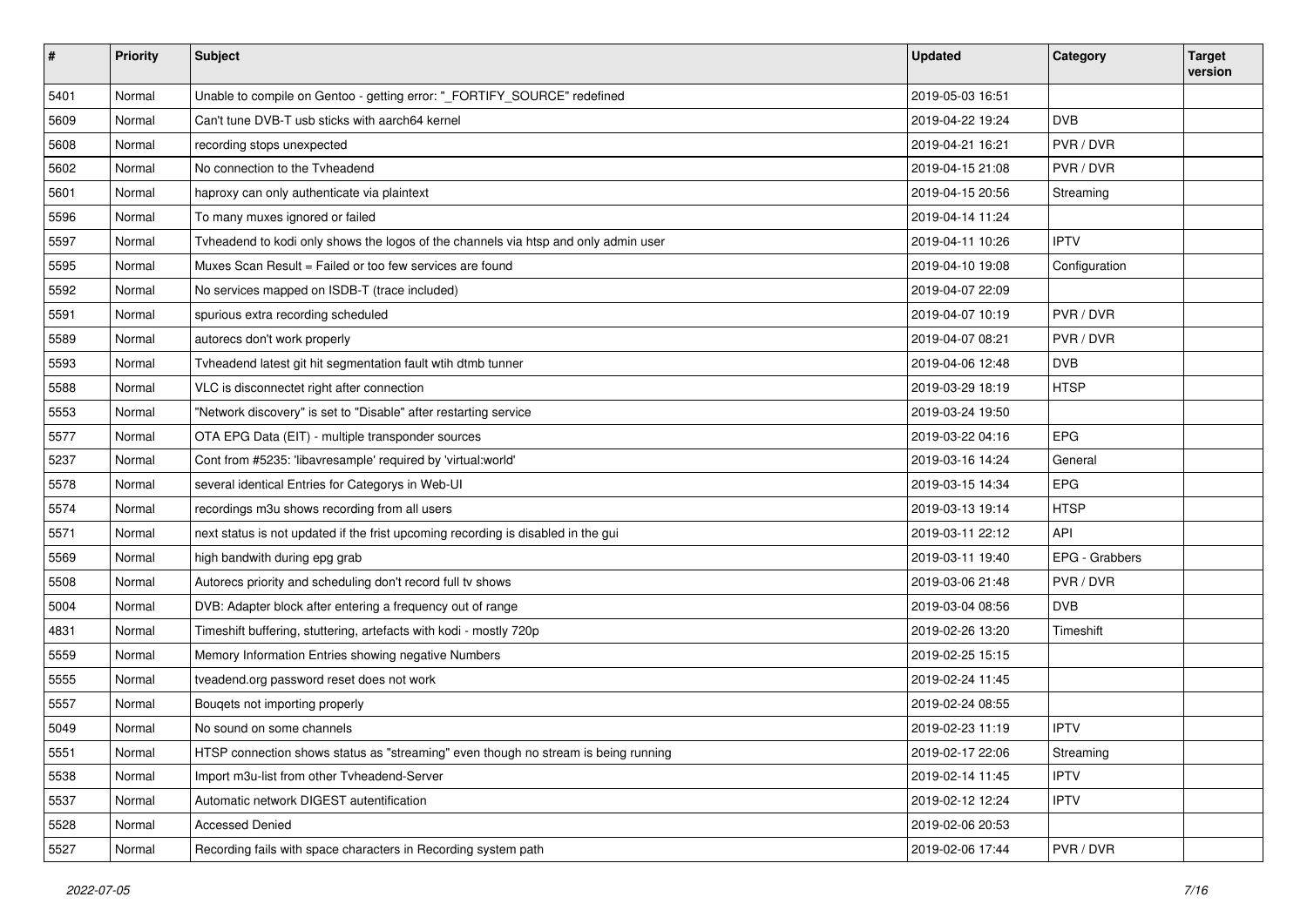| #    | <b>Priority</b> | <b>Subject</b>                                                                      | <b>Updated</b>   | Category       | <b>Target</b><br>version |
|------|-----------------|-------------------------------------------------------------------------------------|------------------|----------------|--------------------------|
| 5401 | Normal          | Unable to compile on Gentoo - getting error: "_FORTIFY_SOURCE" redefined            | 2019-05-03 16:51 |                |                          |
| 5609 | Normal          | Can't tune DVB-T usb sticks with aarch64 kernel                                     | 2019-04-22 19:24 | <b>DVB</b>     |                          |
| 5608 | Normal          | recording stops unexpected                                                          | 2019-04-21 16:21 | PVR / DVR      |                          |
| 5602 | Normal          | No connection to the Tvheadend                                                      | 2019-04-15 21:08 | PVR/DVR        |                          |
| 5601 | Normal          | haproxy can only authenticate via plaintext                                         | 2019-04-15 20:56 | Streaming      |                          |
| 5596 | Normal          | To many muxes ignored or failed                                                     | 2019-04-14 11:24 |                |                          |
| 5597 | Normal          | Tvheadend to kodi only shows the logos of the channels via htsp and only admin user | 2019-04-11 10:26 | <b>IPTV</b>    |                          |
| 5595 | Normal          | Muxes Scan Result = Failed or too few services are found                            | 2019-04-10 19:08 | Configuration  |                          |
| 5592 | Normal          | No services mapped on ISDB-T (trace included)                                       | 2019-04-07 22:09 |                |                          |
| 5591 | Normal          | spurious extra recording scheduled                                                  | 2019-04-07 10:19 | PVR / DVR      |                          |
| 5589 | Normal          | autorecs don't work properly                                                        | 2019-04-07 08:21 | PVR / DVR      |                          |
| 5593 | Normal          | Tvheadend latest git hit segmentation fault wtih dtmb tunner                        | 2019-04-06 12:48 | <b>DVB</b>     |                          |
| 5588 | Normal          | VLC is disconnectet right after connection                                          | 2019-03-29 18:19 | <b>HTSP</b>    |                          |
| 5553 | Normal          | "Network discovery" is set to "Disable" after restarting service                    | 2019-03-24 19:50 |                |                          |
| 5577 | Normal          | OTA EPG Data (EIT) - multiple transponder sources                                   | 2019-03-22 04:16 | <b>EPG</b>     |                          |
| 5237 | Normal          | Cont from #5235: 'libavresample' required by 'virtual:world'                        | 2019-03-16 14:24 | General        |                          |
| 5578 | Normal          | several identical Entries for Categorys in Web-UI                                   | 2019-03-15 14:34 | EPG            |                          |
| 5574 | Normal          | recordings m3u shows recording from all users                                       | 2019-03-13 19:14 | <b>HTSP</b>    |                          |
| 5571 | Normal          | next status is not updated if the frist upcoming recording is disabled in the gui   | 2019-03-11 22:12 | API            |                          |
| 5569 | Normal          | high bandwith during epg grab                                                       | 2019-03-11 19:40 | EPG - Grabbers |                          |
| 5508 | Normal          | Autorecs priority and scheduling don't record full tv shows                         | 2019-03-06 21:48 | PVR / DVR      |                          |
| 5004 | Normal          | DVB: Adapter block after entering a frequency out of range                          | 2019-03-04 08:56 | <b>DVB</b>     |                          |
| 4831 | Normal          | Timeshift buffering, stuttering, artefacts with kodi - mostly 720p                  | 2019-02-26 13:20 | Timeshift      |                          |
| 5559 | Normal          | Memory Information Entries showing negative Numbers                                 | 2019-02-25 15:15 |                |                          |
| 5555 | Normal          | tveadend.org password reset does not work                                           | 2019-02-24 11:45 |                |                          |
| 5557 | Normal          | Bouqets not importing properly                                                      | 2019-02-24 08:55 |                |                          |
| 5049 | Normal          | No sound on some channels                                                           | 2019-02-23 11:19 | <b>IPTV</b>    |                          |
| 5551 | Normal          | HTSP connection shows status as "streaming" even though no stream is being running  | 2019-02-17 22:06 | Streaming      |                          |
| 5538 | Normal          | Import m3u-list from other Tvheadend-Server                                         | 2019-02-14 11:45 | <b>IPTV</b>    |                          |
| 5537 | Normal          | Automatic network DIGEST autentification                                            | 2019-02-12 12:24 | <b>IPTV</b>    |                          |
| 5528 | Normal          | <b>Accessed Denied</b>                                                              | 2019-02-06 20:53 |                |                          |
| 5527 | Normal          | Recording fails with space characters in Recording system path                      | 2019-02-06 17:44 | PVR / DVR      |                          |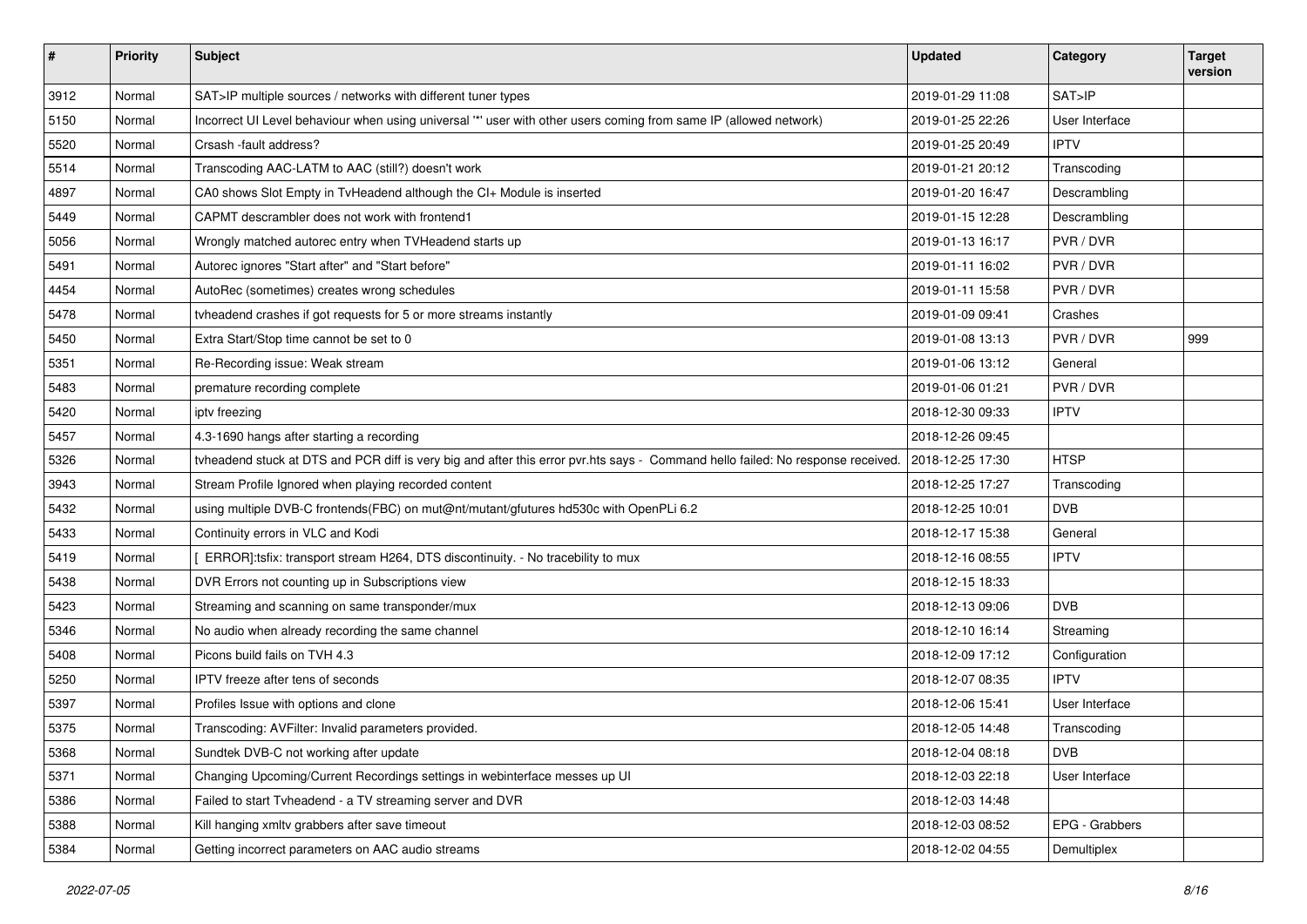| #    | <b>Priority</b> | Subject                                                                                                                                          | <b>Updated</b>   | Category       | <b>Target</b><br>version |
|------|-----------------|--------------------------------------------------------------------------------------------------------------------------------------------------|------------------|----------------|--------------------------|
| 3912 | Normal          | SAT>IP multiple sources / networks with different tuner types                                                                                    | 2019-01-29 11:08 | SAT>IP         |                          |
| 5150 | Normal          | Incorrect UI Level behaviour when using universal "" user with other users coming from same IP (allowed network)                                 | 2019-01-25 22:26 | User Interface |                          |
| 5520 | Normal          | Crsash -fault address?                                                                                                                           | 2019-01-25 20:49 | <b>IPTV</b>    |                          |
| 5514 | Normal          | Transcoding AAC-LATM to AAC (still?) doesn't work                                                                                                | 2019-01-21 20:12 | Transcoding    |                          |
| 4897 | Normal          | CA0 shows Slot Empty in TvHeadend although the CI+ Module is inserted                                                                            | 2019-01-20 16:47 | Descrambling   |                          |
| 5449 | Normal          | CAPMT descrambler does not work with frontend1                                                                                                   | 2019-01-15 12:28 | Descrambling   |                          |
| 5056 | Normal          | Wrongly matched autorec entry when TVHeadend starts up                                                                                           | 2019-01-13 16:17 | PVR / DVR      |                          |
| 5491 | Normal          | Autorec ignores "Start after" and "Start before"                                                                                                 | 2019-01-11 16:02 | PVR / DVR      |                          |
| 4454 | Normal          | AutoRec (sometimes) creates wrong schedules                                                                                                      | 2019-01-11 15:58 | PVR / DVR      |                          |
| 5478 | Normal          | tvheadend crashes if got requests for 5 or more streams instantly                                                                                | 2019-01-09 09:41 | Crashes        |                          |
| 5450 | Normal          | Extra Start/Stop time cannot be set to 0                                                                                                         | 2019-01-08 13:13 | PVR / DVR      | 999                      |
| 5351 | Normal          | Re-Recording issue: Weak stream                                                                                                                  | 2019-01-06 13:12 | General        |                          |
| 5483 | Normal          | premature recording complete                                                                                                                     | 2019-01-06 01:21 | PVR / DVR      |                          |
| 5420 | Normal          | iptv freezing                                                                                                                                    | 2018-12-30 09:33 | <b>IPTV</b>    |                          |
| 5457 | Normal          | 4.3-1690 hangs after starting a recording                                                                                                        | 2018-12-26 09:45 |                |                          |
| 5326 | Normal          | tyheadend stuck at DTS and PCR diff is very big and after this error pvr.hts says - Command hello failed: No response received. 2018-12-25 17:30 |                  | <b>HTSP</b>    |                          |
| 3943 | Normal          | Stream Profile Ignored when playing recorded content                                                                                             | 2018-12-25 17:27 | Transcoding    |                          |
| 5432 | Normal          | using multiple DVB-C frontends(FBC) on mut@nt/mutant/gfutures hd530c with OpenPLi 6.2                                                            | 2018-12-25 10:01 | <b>DVB</b>     |                          |
| 5433 | Normal          | Continuity errors in VLC and Kodi                                                                                                                | 2018-12-17 15:38 | General        |                          |
| 5419 | Normal          | ERROR]:tsfix: transport stream H264, DTS discontinuity. - No tracebility to mux                                                                  | 2018-12-16 08:55 | <b>IPTV</b>    |                          |
| 5438 | Normal          | DVR Errors not counting up in Subscriptions view                                                                                                 | 2018-12-15 18:33 |                |                          |
| 5423 | Normal          | Streaming and scanning on same transponder/mux                                                                                                   | 2018-12-13 09:06 | <b>DVB</b>     |                          |
| 5346 | Normal          | No audio when already recording the same channel                                                                                                 | 2018-12-10 16:14 | Streaming      |                          |
| 5408 | Normal          | Picons build fails on TVH 4.3                                                                                                                    | 2018-12-09 17:12 | Configuration  |                          |
| 5250 | Normal          | <b>IPTV</b> freeze after tens of seconds                                                                                                         | 2018-12-07 08:35 | <b>IPTV</b>    |                          |
| 5397 | Normal          | Profiles Issue with options and clone                                                                                                            | 2018-12-06 15:41 | User Interface |                          |
| 5375 | Normal          | Transcoding: AVFilter: Invalid parameters provided.                                                                                              | 2018-12-05 14:48 | Transcoding    |                          |
| 5368 | Normal          | Sundtek DVB-C not working after update                                                                                                           | 2018-12-04 08:18 | <b>DVB</b>     |                          |
| 5371 | Normal          | Changing Upcoming/Current Recordings settings in webinterface messes up UI                                                                       | 2018-12-03 22:18 | User Interface |                          |
| 5386 | Normal          | Failed to start Tvheadend - a TV streaming server and DVR                                                                                        | 2018-12-03 14:48 |                |                          |
| 5388 | Normal          | Kill hanging xmltv grabbers after save timeout                                                                                                   | 2018-12-03 08:52 | EPG - Grabbers |                          |
| 5384 | Normal          | Getting incorrect parameters on AAC audio streams                                                                                                | 2018-12-02 04:55 | Demultiplex    |                          |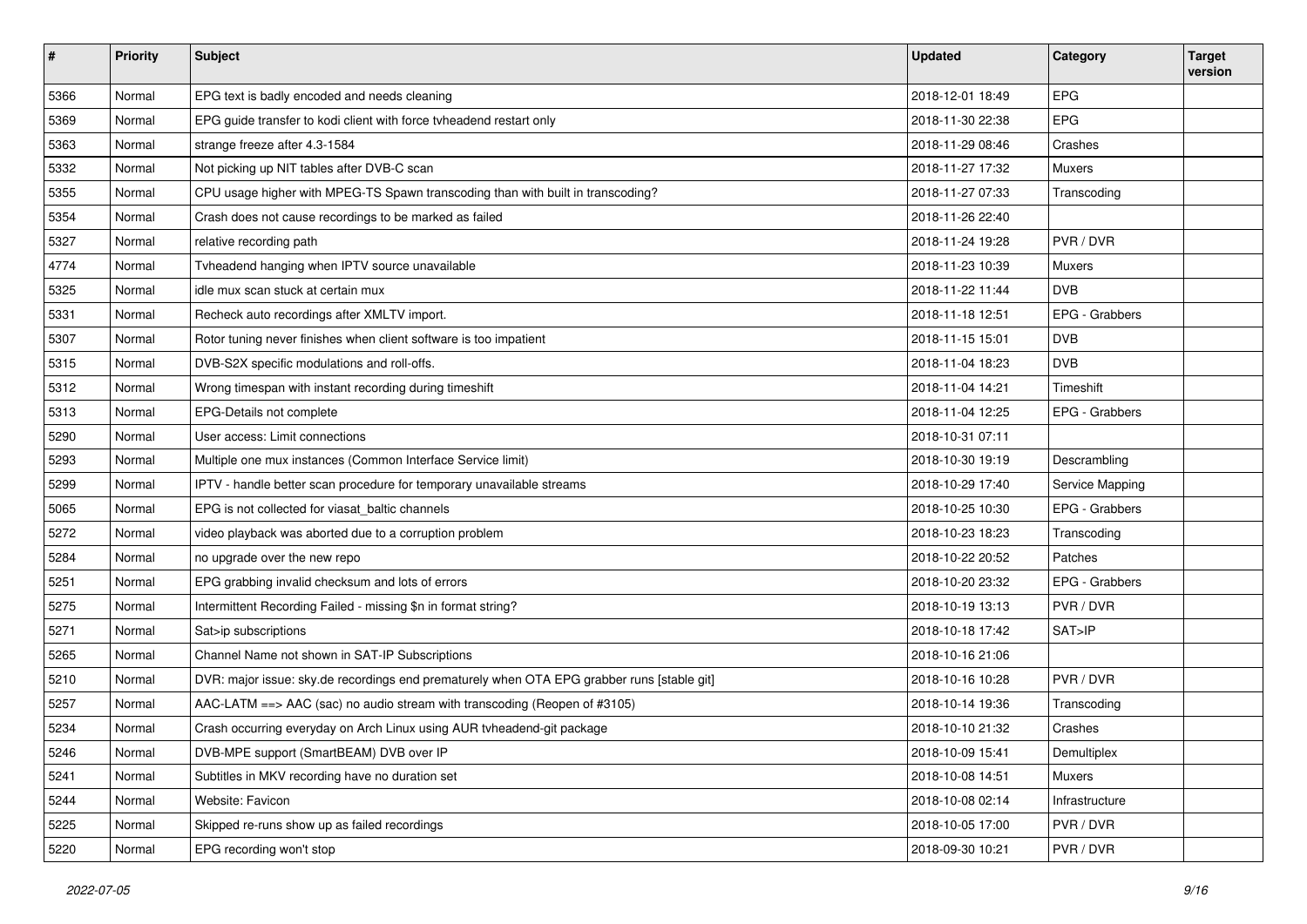| $\vert$ # | <b>Priority</b> | <b>Subject</b>                                                                             | <b>Updated</b>   | Category        | <b>Target</b><br>version |
|-----------|-----------------|--------------------------------------------------------------------------------------------|------------------|-----------------|--------------------------|
| 5366      | Normal          | EPG text is badly encoded and needs cleaning                                               | 2018-12-01 18:49 | EPG             |                          |
| 5369      | Normal          | EPG guide transfer to kodi client with force tvheadend restart only                        | 2018-11-30 22:38 | EPG             |                          |
| 5363      | Normal          | strange freeze after 4.3-1584                                                              | 2018-11-29 08:46 | Crashes         |                          |
| 5332      | Normal          | Not picking up NIT tables after DVB-C scan                                                 | 2018-11-27 17:32 | Muxers          |                          |
| 5355      | Normal          | CPU usage higher with MPEG-TS Spawn transcoding than with built in transcoding?            | 2018-11-27 07:33 | Transcoding     |                          |
| 5354      | Normal          | Crash does not cause recordings to be marked as failed                                     | 2018-11-26 22:40 |                 |                          |
| 5327      | Normal          | relative recording path                                                                    | 2018-11-24 19:28 | PVR/DVR         |                          |
| 4774      | Normal          | Tvheadend hanging when IPTV source unavailable                                             | 2018-11-23 10:39 | Muxers          |                          |
| 5325      | Normal          | idle mux scan stuck at certain mux                                                         | 2018-11-22 11:44 | <b>DVB</b>      |                          |
| 5331      | Normal          | Recheck auto recordings after XMLTV import.                                                | 2018-11-18 12:51 | EPG - Grabbers  |                          |
| 5307      | Normal          | Rotor tuning never finishes when client software is too impatient                          | 2018-11-15 15:01 | <b>DVB</b>      |                          |
| 5315      | Normal          | DVB-S2X specific modulations and roll-offs.                                                | 2018-11-04 18:23 | <b>DVB</b>      |                          |
| 5312      | Normal          | Wrong timespan with instant recording during timeshift                                     | 2018-11-04 14:21 | Timeshift       |                          |
| 5313      | Normal          | EPG-Details not complete                                                                   | 2018-11-04 12:25 | EPG - Grabbers  |                          |
| 5290      | Normal          | User access: Limit connections                                                             | 2018-10-31 07:11 |                 |                          |
| 5293      | Normal          | Multiple one mux instances (Common Interface Service limit)                                | 2018-10-30 19:19 | Descrambling    |                          |
| 5299      | Normal          | IPTV - handle better scan procedure for temporary unavailable streams                      | 2018-10-29 17:40 | Service Mapping |                          |
| 5065      | Normal          | EPG is not collected for viasat_baltic channels                                            | 2018-10-25 10:30 | EPG - Grabbers  |                          |
| 5272      | Normal          | video playback was aborted due to a corruption problem                                     | 2018-10-23 18:23 | Transcoding     |                          |
| 5284      | Normal          | no upgrade over the new repo                                                               | 2018-10-22 20:52 | Patches         |                          |
| 5251      | Normal          | EPG grabbing invalid checksum and lots of errors                                           | 2018-10-20 23:32 | EPG - Grabbers  |                          |
| 5275      | Normal          | Intermittent Recording Failed - missing \$n in format string?                              | 2018-10-19 13:13 | PVR / DVR       |                          |
| 5271      | Normal          | Sat>ip subscriptions                                                                       | 2018-10-18 17:42 | SAT>IP          |                          |
| 5265      | Normal          | Channel Name not shown in SAT-IP Subscriptions                                             | 2018-10-16 21:06 |                 |                          |
| 5210      | Normal          | DVR: major issue: sky.de recordings end prematurely when OTA EPG grabber runs [stable git] | 2018-10-16 10:28 | PVR / DVR       |                          |
| 5257      | Normal          | AAC-LATM ==> AAC (sac) no audio stream with transcoding (Reopen of #3105)                  | 2018-10-14 19:36 | Transcoding     |                          |
| 5234      | Normal          | Crash occurring everyday on Arch Linux using AUR tvheadend-git package                     | 2018-10-10 21:32 | Crashes         |                          |
| 5246      | Normal          | DVB-MPE support (SmartBEAM) DVB over IP                                                    | 2018-10-09 15:41 | Demultiplex     |                          |
| 5241      | Normal          | Subtitles in MKV recording have no duration set                                            | 2018-10-08 14:51 | Muxers          |                          |
| 5244      | Normal          | Website: Favicon                                                                           | 2018-10-08 02:14 | Infrastructure  |                          |
| 5225      | Normal          | Skipped re-runs show up as failed recordings                                               | 2018-10-05 17:00 | PVR / DVR       |                          |
| 5220      | Normal          | EPG recording won't stop                                                                   | 2018-09-30 10:21 | PVR / DVR       |                          |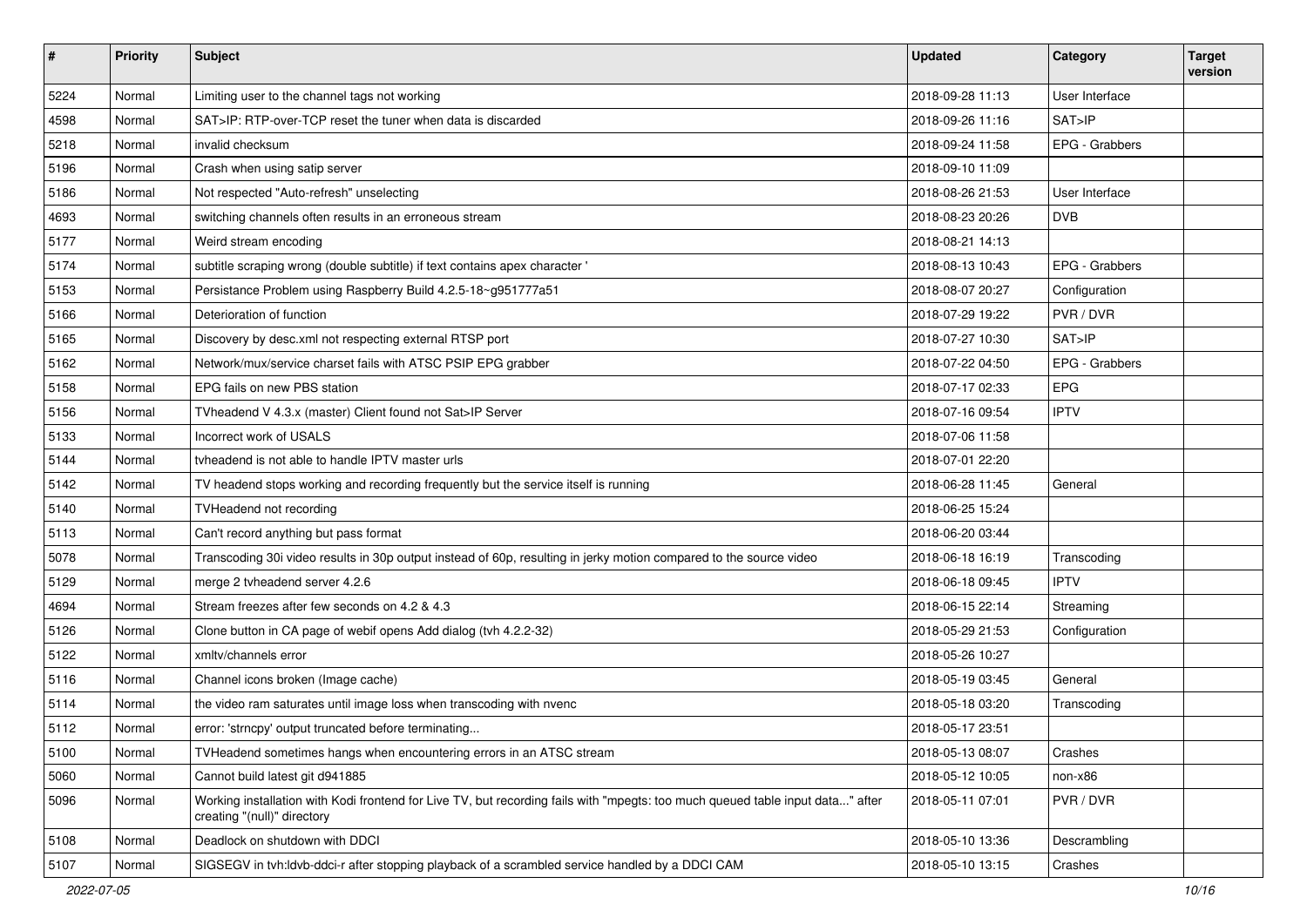| #    | <b>Priority</b> | <b>Subject</b>                                                                                                                                                | <b>Updated</b>   | Category       | <b>Target</b><br>version |
|------|-----------------|---------------------------------------------------------------------------------------------------------------------------------------------------------------|------------------|----------------|--------------------------|
| 5224 | Normal          | Limiting user to the channel tags not working                                                                                                                 | 2018-09-28 11:13 | User Interface |                          |
| 4598 | Normal          | SAT>IP: RTP-over-TCP reset the tuner when data is discarded                                                                                                   | 2018-09-26 11:16 | SAT>IP         |                          |
| 5218 | Normal          | invalid checksum                                                                                                                                              | 2018-09-24 11:58 | EPG - Grabbers |                          |
| 5196 | Normal          | Crash when using satip server                                                                                                                                 | 2018-09-10 11:09 |                |                          |
| 5186 | Normal          | Not respected "Auto-refresh" unselecting                                                                                                                      | 2018-08-26 21:53 | User Interface |                          |
| 4693 | Normal          | switching channels often results in an erroneous stream                                                                                                       | 2018-08-23 20:26 | <b>DVB</b>     |                          |
| 5177 | Normal          | Weird stream encoding                                                                                                                                         | 2018-08-21 14:13 |                |                          |
| 5174 | Normal          | subtitle scraping wrong (double subtitle) if text contains apex character '                                                                                   | 2018-08-13 10:43 | EPG - Grabbers |                          |
| 5153 | Normal          | Persistance Problem using Raspberry Build 4.2.5-18~g951777a51                                                                                                 | 2018-08-07 20:27 | Configuration  |                          |
| 5166 | Normal          | Deterioration of function                                                                                                                                     | 2018-07-29 19:22 | PVR / DVR      |                          |
| 5165 | Normal          | Discovery by desc.xml not respecting external RTSP port                                                                                                       | 2018-07-27 10:30 | SAT>IP         |                          |
| 5162 | Normal          | Network/mux/service charset fails with ATSC PSIP EPG grabber                                                                                                  | 2018-07-22 04:50 | EPG - Grabbers |                          |
| 5158 | Normal          | EPG fails on new PBS station                                                                                                                                  | 2018-07-17 02:33 | EPG            |                          |
| 5156 | Normal          | TVheadend V 4.3.x (master) Client found not Sat>IP Server                                                                                                     | 2018-07-16 09:54 | <b>IPTV</b>    |                          |
| 5133 | Normal          | Incorrect work of USALS                                                                                                                                       | 2018-07-06 11:58 |                |                          |
| 5144 | Normal          | tyheadend is not able to handle IPTV master urls                                                                                                              | 2018-07-01 22:20 |                |                          |
| 5142 | Normal          | TV headend stops working and recording frequently but the service itself is running                                                                           | 2018-06-28 11:45 | General        |                          |
| 5140 | Normal          | TVHeadend not recording                                                                                                                                       | 2018-06-25 15:24 |                |                          |
| 5113 | Normal          | Can't record anything but pass format                                                                                                                         | 2018-06-20 03:44 |                |                          |
| 5078 | Normal          | Transcoding 30i video results in 30p output instead of 60p, resulting in jerky motion compared to the source video                                            | 2018-06-18 16:19 | Transcoding    |                          |
| 5129 | Normal          | merge 2 tvheadend server 4.2.6                                                                                                                                | 2018-06-18 09:45 | <b>IPTV</b>    |                          |
| 4694 | Normal          | Stream freezes after few seconds on 4.2 & 4.3                                                                                                                 | 2018-06-15 22:14 | Streaming      |                          |
| 5126 | Normal          | Clone button in CA page of webif opens Add dialog (tvh 4.2.2-32)                                                                                              | 2018-05-29 21:53 | Configuration  |                          |
| 5122 | Normal          | xmltv/channels error                                                                                                                                          | 2018-05-26 10:27 |                |                          |
| 5116 | Normal          | Channel icons broken (Image cache)                                                                                                                            | 2018-05-19 03:45 | General        |                          |
| 5114 | Normal          | the video ram saturates until image loss when transcoding with nvenc                                                                                          | 2018-05-18 03:20 | Transcoding    |                          |
| 5112 | Normal          | error: 'strncpy' output truncated before terminating                                                                                                          | 2018-05-17 23:51 |                |                          |
| 5100 | Normal          | TVHeadend sometimes hangs when encountering errors in an ATSC stream                                                                                          | 2018-05-13 08:07 | Crashes        |                          |
| 5060 | Normal          | Cannot build latest git d941885                                                                                                                               | 2018-05-12 10:05 | non-x86        |                          |
| 5096 | Normal          | Working installation with Kodi frontend for Live TV, but recording fails with "mpegts: too much queued table input data" after<br>creating "(null)" directory | 2018-05-11 07:01 | PVR / DVR      |                          |
| 5108 | Normal          | Deadlock on shutdown with DDCI                                                                                                                                | 2018-05-10 13:36 | Descrambling   |                          |
| 5107 | Normal          | SIGSEGV in tvh:ldvb-ddci-r after stopping playback of a scrambled service handled by a DDCI CAM                                                               | 2018-05-10 13:15 | Crashes        |                          |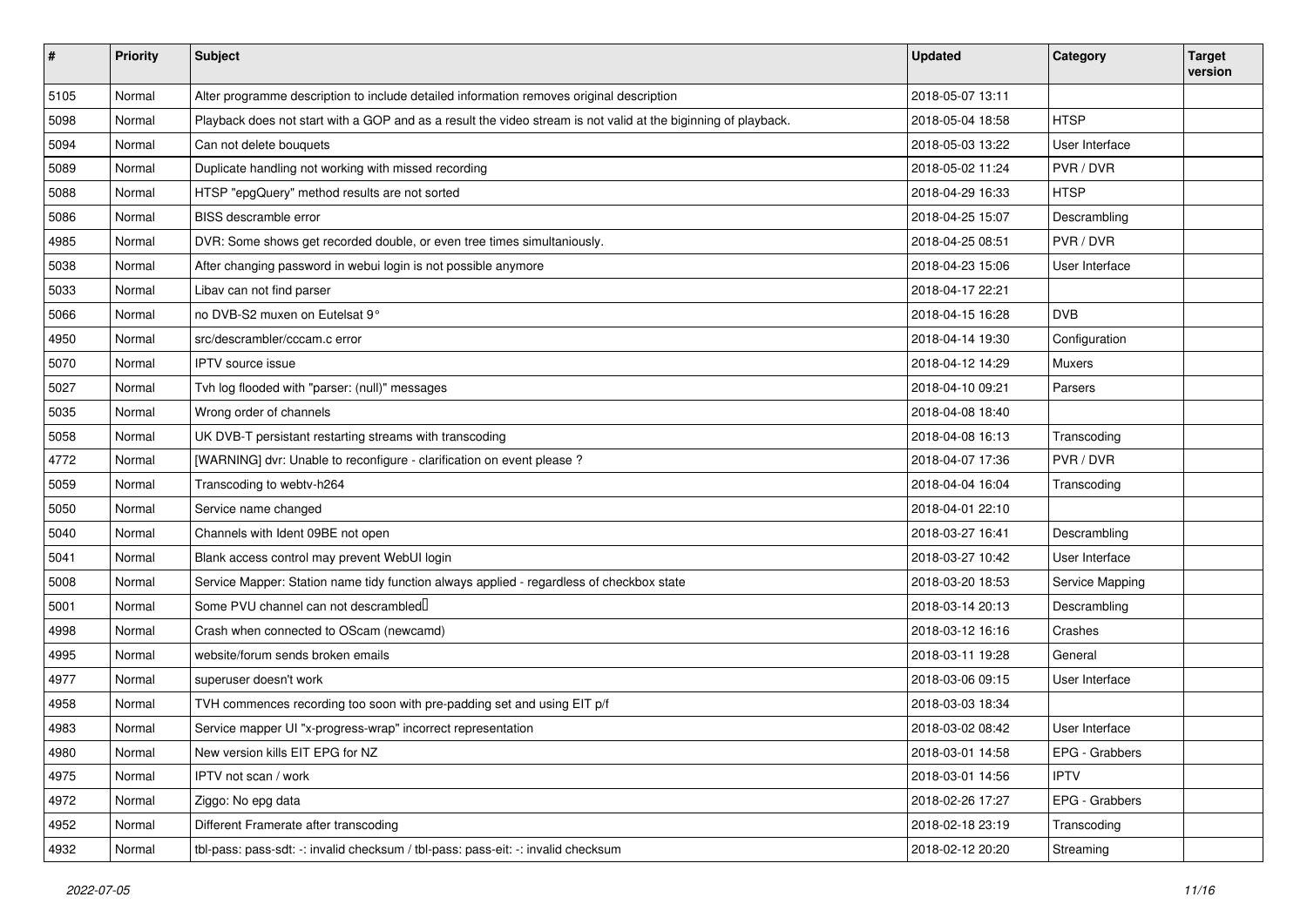| $\vert$ # | <b>Priority</b> | <b>Subject</b>                                                                                                 | <b>Updated</b>   | Category        | <b>Target</b><br>version |
|-----------|-----------------|----------------------------------------------------------------------------------------------------------------|------------------|-----------------|--------------------------|
| 5105      | Normal          | Alter programme description to include detailed information removes original description                       | 2018-05-07 13:11 |                 |                          |
| 5098      | Normal          | Playback does not start with a GOP and as a result the video stream is not valid at the biginning of playback. | 2018-05-04 18:58 | <b>HTSP</b>     |                          |
| 5094      | Normal          | Can not delete bouquets                                                                                        | 2018-05-03 13:22 | User Interface  |                          |
| 5089      | Normal          | Duplicate handling not working with missed recording                                                           | 2018-05-02 11:24 | PVR / DVR       |                          |
| 5088      | Normal          | HTSP "epgQuery" method results are not sorted                                                                  | 2018-04-29 16:33 | <b>HTSP</b>     |                          |
| 5086      | Normal          | BISS descramble error                                                                                          | 2018-04-25 15:07 | Descrambling    |                          |
| 4985      | Normal          | DVR: Some shows get recorded double, or even tree times simultaniously.                                        | 2018-04-25 08:51 | PVR / DVR       |                          |
| 5038      | Normal          | After changing password in webui login is not possible anymore                                                 | 2018-04-23 15:06 | User Interface  |                          |
| 5033      | Normal          | Libav can not find parser                                                                                      | 2018-04-17 22:21 |                 |                          |
| 5066      | Normal          | no DVB-S2 muxen on Eutelsat 9°                                                                                 | 2018-04-15 16:28 | <b>DVB</b>      |                          |
| 4950      | Normal          | src/descrambler/cccam.c error                                                                                  | 2018-04-14 19:30 | Configuration   |                          |
| 5070      | Normal          | IPTV source issue                                                                                              | 2018-04-12 14:29 | Muxers          |                          |
| 5027      | Normal          | Tvh log flooded with "parser: (null)" messages                                                                 | 2018-04-10 09:21 | Parsers         |                          |
| 5035      | Normal          | Wrong order of channels                                                                                        | 2018-04-08 18:40 |                 |                          |
| 5058      | Normal          | UK DVB-T persistant restarting streams with transcoding                                                        | 2018-04-08 16:13 | Transcoding     |                          |
| 4772      | Normal          | [WARNING] dvr: Unable to reconfigure - clarification on event please ?                                         | 2018-04-07 17:36 | PVR / DVR       |                          |
| 5059      | Normal          | Transcoding to webtv-h264                                                                                      | 2018-04-04 16:04 | Transcoding     |                          |
| 5050      | Normal          | Service name changed                                                                                           | 2018-04-01 22:10 |                 |                          |
| 5040      | Normal          | Channels with Ident 09BE not open                                                                              | 2018-03-27 16:41 | Descrambling    |                          |
| 5041      | Normal          | Blank access control may prevent WebUI login                                                                   | 2018-03-27 10:42 | User Interface  |                          |
| 5008      | Normal          | Service Mapper: Station name tidy function always applied - regardless of checkbox state                       | 2018-03-20 18:53 | Service Mapping |                          |
| 5001      | Normal          | Some PVU channel can not descrambled                                                                           | 2018-03-14 20:13 | Descrambling    |                          |
| 4998      | Normal          | Crash when connected to OScam (newcamd)                                                                        | 2018-03-12 16:16 | Crashes         |                          |
| 4995      | Normal          | website/forum sends broken emails                                                                              | 2018-03-11 19:28 | General         |                          |
| 4977      | Normal          | superuser doesn't work                                                                                         | 2018-03-06 09:15 | User Interface  |                          |
| 4958      | Normal          | TVH commences recording too soon with pre-padding set and using EIT p/f                                        | 2018-03-03 18:34 |                 |                          |
| 4983      | Normal          | Service mapper UI "x-progress-wrap" incorrect representation                                                   | 2018-03-02 08:42 | User Interface  |                          |
| 4980      | Normal          | New version kills EIT EPG for NZ                                                                               | 2018-03-01 14:58 | EPG - Grabbers  |                          |
| 4975      | Normal          | IPTV not scan / work                                                                                           | 2018-03-01 14:56 | <b>IPTV</b>     |                          |
| 4972      | Normal          | Ziggo: No epg data                                                                                             | 2018-02-26 17:27 | EPG - Grabbers  |                          |
| 4952      | Normal          | Different Framerate after transcoding                                                                          | 2018-02-18 23:19 | Transcoding     |                          |
| 4932      | Normal          | tbl-pass: pass-sdt: -: invalid checksum / tbl-pass: pass-eit: -: invalid checksum                              | 2018-02-12 20:20 | Streaming       |                          |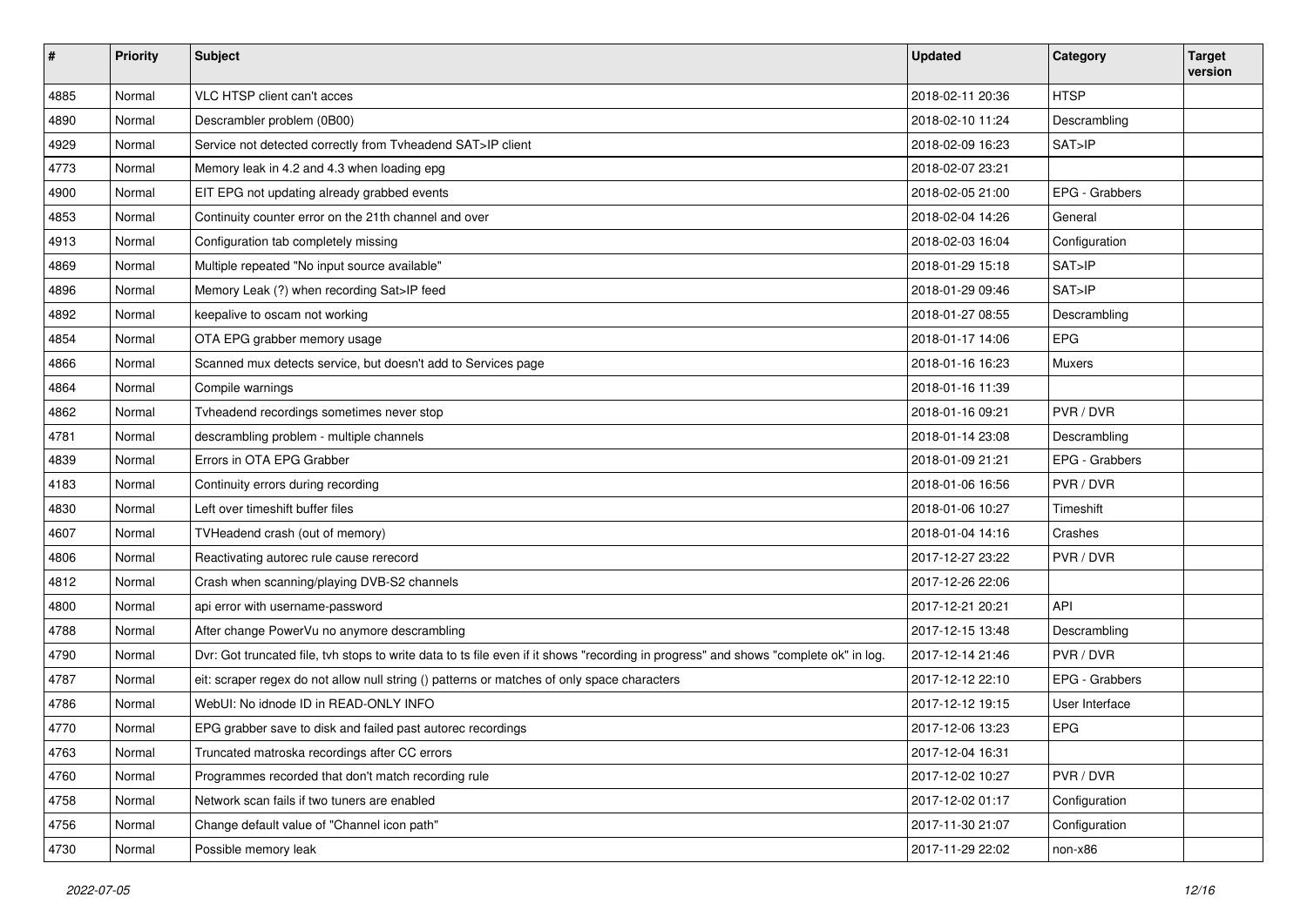| #    | <b>Priority</b> | <b>Subject</b>                                                                                                                       | <b>Updated</b>   | Category       | <b>Target</b><br>version |
|------|-----------------|--------------------------------------------------------------------------------------------------------------------------------------|------------------|----------------|--------------------------|
| 4885 | Normal          | VLC HTSP client can't acces                                                                                                          | 2018-02-11 20:36 | <b>HTSP</b>    |                          |
| 4890 | Normal          | Descrambler problem (0B00)                                                                                                           | 2018-02-10 11:24 | Descrambling   |                          |
| 4929 | Normal          | Service not detected correctly from Tvheadend SAT>IP client                                                                          | 2018-02-09 16:23 | SAT>IP         |                          |
| 4773 | Normal          | Memory leak in 4.2 and 4.3 when loading epg                                                                                          | 2018-02-07 23:21 |                |                          |
| 4900 | Normal          | EIT EPG not updating already grabbed events                                                                                          | 2018-02-05 21:00 | EPG - Grabbers |                          |
| 4853 | Normal          | Continuity counter error on the 21th channel and over                                                                                | 2018-02-04 14:26 | General        |                          |
| 4913 | Normal          | Configuration tab completely missing                                                                                                 | 2018-02-03 16:04 | Configuration  |                          |
| 4869 | Normal          | Multiple repeated "No input source available"                                                                                        | 2018-01-29 15:18 | SAT>IP         |                          |
| 4896 | Normal          | Memory Leak (?) when recording Sat>IP feed                                                                                           | 2018-01-29 09:46 | SAT>IP         |                          |
| 4892 | Normal          | keepalive to oscam not working                                                                                                       | 2018-01-27 08:55 | Descrambling   |                          |
| 4854 | Normal          | OTA EPG grabber memory usage                                                                                                         | 2018-01-17 14:06 | <b>EPG</b>     |                          |
| 4866 | Normal          | Scanned mux detects service, but doesn't add to Services page                                                                        | 2018-01-16 16:23 | Muxers         |                          |
| 4864 | Normal          | Compile warnings                                                                                                                     | 2018-01-16 11:39 |                |                          |
| 4862 | Normal          | Tvheadend recordings sometimes never stop                                                                                            | 2018-01-16 09:21 | PVR / DVR      |                          |
| 4781 | Normal          | descrambling problem - multiple channels                                                                                             | 2018-01-14 23:08 | Descrambling   |                          |
| 4839 | Normal          | Errors in OTA EPG Grabber                                                                                                            | 2018-01-09 21:21 | EPG - Grabbers |                          |
| 4183 | Normal          | Continuity errors during recording                                                                                                   | 2018-01-06 16:56 | PVR / DVR      |                          |
| 4830 | Normal          | Left over timeshift buffer files                                                                                                     | 2018-01-06 10:27 | Timeshift      |                          |
| 4607 | Normal          | TVHeadend crash (out of memory)                                                                                                      | 2018-01-04 14:16 | Crashes        |                          |
| 4806 | Normal          | Reactivating autorec rule cause rerecord                                                                                             | 2017-12-27 23:22 | PVR / DVR      |                          |
| 4812 | Normal          | Crash when scanning/playing DVB-S2 channels                                                                                          | 2017-12-26 22:06 |                |                          |
| 4800 | Normal          | api error with username-password                                                                                                     | 2017-12-21 20:21 | <b>API</b>     |                          |
| 4788 | Normal          | After change PowerVu no anymore descrambling                                                                                         | 2017-12-15 13:48 | Descrambling   |                          |
| 4790 | Normal          | Dvr: Got truncated file, tvh stops to write data to ts file even if it shows "recording in progress" and shows "complete ok" in log. | 2017-12-14 21:46 | PVR/DVR        |                          |
| 4787 | Normal          | eit: scraper regex do not allow null string () patterns or matches of only space characters                                          | 2017-12-12 22:10 | EPG - Grabbers |                          |
| 4786 | Normal          | WebUI: No idnode ID in READ-ONLY INFO                                                                                                | 2017-12-12 19:15 | User Interface |                          |
| 4770 | Normal          | EPG grabber save to disk and failed past autorec recordings                                                                          | 2017-12-06 13:23 | EPG            |                          |
| 4763 | Normal          | Truncated matroska recordings after CC errors                                                                                        | 2017-12-04 16:31 |                |                          |
| 4760 | Normal          | Programmes recorded that don't match recording rule                                                                                  | 2017-12-02 10:27 | PVR / DVR      |                          |
| 4758 | Normal          | Network scan fails if two tuners are enabled                                                                                         | 2017-12-02 01:17 | Configuration  |                          |
| 4756 | Normal          | Change default value of "Channel icon path"                                                                                          | 2017-11-30 21:07 | Configuration  |                          |
| 4730 | Normal          | Possible memory leak                                                                                                                 | 2017-11-29 22:02 | non-x86        |                          |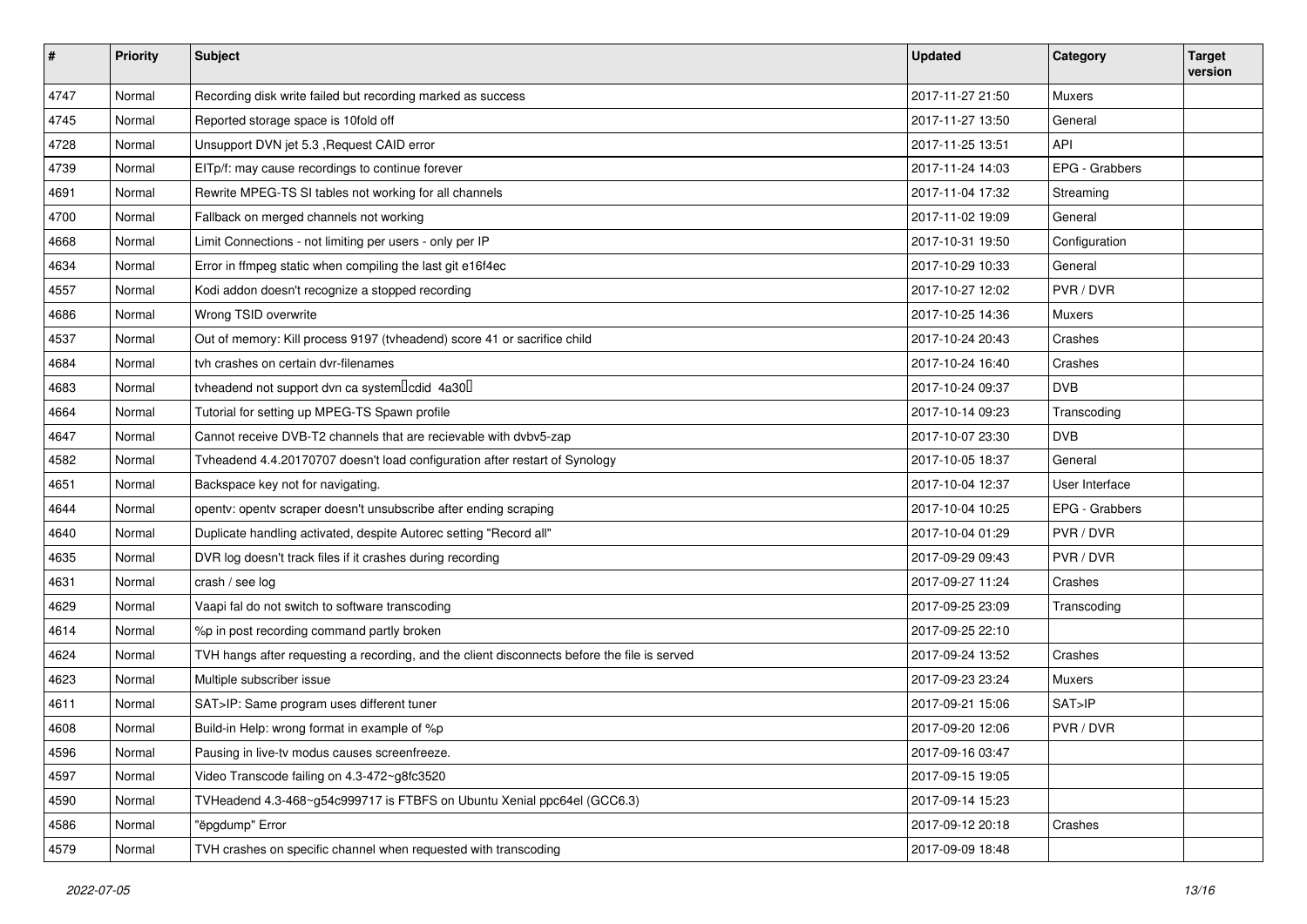| #    | <b>Priority</b> | Subject                                                                                      | <b>Updated</b>   | Category       | <b>Target</b><br>version |
|------|-----------------|----------------------------------------------------------------------------------------------|------------------|----------------|--------------------------|
| 4747 | Normal          | Recording disk write failed but recording marked as success                                  | 2017-11-27 21:50 | Muxers         |                          |
| 4745 | Normal          | Reported storage space is 10fold off                                                         | 2017-11-27 13:50 | General        |                          |
| 4728 | Normal          | Unsupport DVN jet 5.3 , Request CAID error                                                   | 2017-11-25 13:51 | API            |                          |
| 4739 | Normal          | EITp/f: may cause recordings to continue forever                                             | 2017-11-24 14:03 | EPG - Grabbers |                          |
| 4691 | Normal          | Rewrite MPEG-TS SI tables not working for all channels                                       | 2017-11-04 17:32 | Streaming      |                          |
| 4700 | Normal          | Fallback on merged channels not working                                                      | 2017-11-02 19:09 | General        |                          |
| 4668 | Normal          | Limit Connections - not limiting per users - only per IP                                     | 2017-10-31 19:50 | Configuration  |                          |
| 4634 | Normal          | Error in ffmpeg static when compiling the last git e16f4ec                                   | 2017-10-29 10:33 | General        |                          |
| 4557 | Normal          | Kodi addon doesn't recognize a stopped recording                                             | 2017-10-27 12:02 | PVR / DVR      |                          |
| 4686 | Normal          | Wrong TSID overwrite                                                                         | 2017-10-25 14:36 | Muxers         |                          |
| 4537 | Normal          | Out of memory: Kill process 9197 (tvheadend) score 41 or sacrifice child                     | 2017-10-24 20:43 | Crashes        |                          |
| 4684 | Normal          | tvh crashes on certain dvr-filenames                                                         | 2017-10-24 16:40 | Crashes        |                          |
| 4683 | Normal          | tyheadend not support dvn ca system lcdid 4a30                                               | 2017-10-24 09:37 | <b>DVB</b>     |                          |
| 4664 | Normal          | Tutorial for setting up MPEG-TS Spawn profile                                                | 2017-10-14 09:23 | Transcoding    |                          |
| 4647 | Normal          | Cannot receive DVB-T2 channels that are recievable with dvbv5-zap                            | 2017-10-07 23:30 | <b>DVB</b>     |                          |
| 4582 | Normal          | Tvheadend 4.4.20170707 doesn't load configuration after restart of Synology                  | 2017-10-05 18:37 | General        |                          |
| 4651 | Normal          | Backspace key not for navigating.                                                            | 2017-10-04 12:37 | User Interface |                          |
| 4644 | Normal          | opentv: opentv scraper doesn't unsubscribe after ending scraping                             | 2017-10-04 10:25 | EPG - Grabbers |                          |
| 4640 | Normal          | Duplicate handling activated, despite Autorec setting "Record all"                           | 2017-10-04 01:29 | PVR/DVR        |                          |
| 4635 | Normal          | DVR log doesn't track files if it crashes during recording                                   | 2017-09-29 09:43 | PVR / DVR      |                          |
| 4631 | Normal          | crash / see log                                                                              | 2017-09-27 11:24 | Crashes        |                          |
| 4629 | Normal          | Vaapi fal do not switch to software transcoding                                              | 2017-09-25 23:09 | Transcoding    |                          |
| 4614 | Normal          | %p in post recording command partly broken                                                   | 2017-09-25 22:10 |                |                          |
| 4624 | Normal          | TVH hangs after requesting a recording, and the client disconnects before the file is served | 2017-09-24 13:52 | Crashes        |                          |
| 4623 | Normal          | Multiple subscriber issue                                                                    | 2017-09-23 23:24 | Muxers         |                          |
| 4611 | Normal          | SAT>IP: Same program uses different tuner                                                    | 2017-09-21 15:06 | SAT>IP         |                          |
| 4608 | Normal          | Build-in Help: wrong format in example of %p                                                 | 2017-09-20 12:06 | PVR / DVR      |                          |
| 4596 | Normal          | Pausing in live-tv modus causes screenfreeze.                                                | 2017-09-16 03:47 |                |                          |
| 4597 | Normal          | Video Transcode failing on 4.3-472~g8fc3520                                                  | 2017-09-15 19:05 |                |                          |
| 4590 | Normal          | TVHeadend 4.3-468~g54c999717 is FTBFS on Ubuntu Xenial ppc64el (GCC6.3)                      | 2017-09-14 15:23 |                |                          |
| 4586 | Normal          | "ëpgdump" Error                                                                              | 2017-09-12 20:18 | Crashes        |                          |
| 4579 | Normal          | TVH crashes on specific channel when requested with transcoding                              | 2017-09-09 18:48 |                |                          |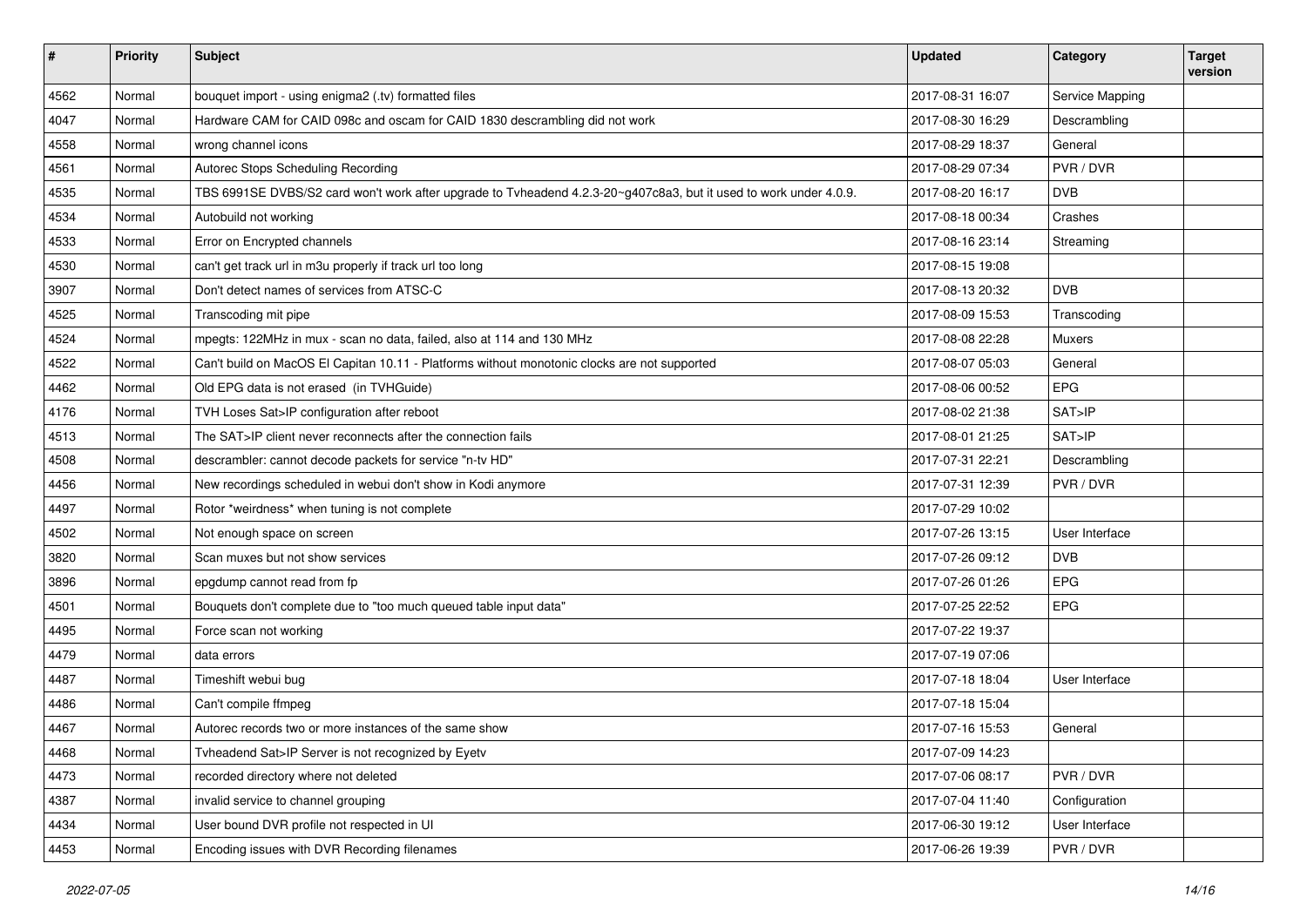| #    | <b>Priority</b> | Subject                                                                                                           | <b>Updated</b>   | Category        | <b>Target</b><br>version |
|------|-----------------|-------------------------------------------------------------------------------------------------------------------|------------------|-----------------|--------------------------|
| 4562 | Normal          | bouquet import - using enigma2 (.tv) formatted files                                                              | 2017-08-31 16:07 | Service Mapping |                          |
| 4047 | Normal          | Hardware CAM for CAID 098c and oscam for CAID 1830 descrambling did not work                                      | 2017-08-30 16:29 | Descrambling    |                          |
| 4558 | Normal          | wrong channel icons                                                                                               | 2017-08-29 18:37 | General         |                          |
| 4561 | Normal          | Autorec Stops Scheduling Recording                                                                                | 2017-08-29 07:34 | PVR / DVR       |                          |
| 4535 | Normal          | TBS 6991SE DVBS/S2 card won't work after upgrade to Tvheadend 4.2.3-20~g407c8a3, but it used to work under 4.0.9. | 2017-08-20 16:17 | <b>DVB</b>      |                          |
| 4534 | Normal          | Autobuild not working                                                                                             | 2017-08-18 00:34 | Crashes         |                          |
| 4533 | Normal          | Error on Encrypted channels                                                                                       | 2017-08-16 23:14 | Streaming       |                          |
| 4530 | Normal          | can't get track url in m3u properly if track url too long                                                         | 2017-08-15 19:08 |                 |                          |
| 3907 | Normal          | Don't detect names of services from ATSC-C                                                                        | 2017-08-13 20:32 | <b>DVB</b>      |                          |
| 4525 | Normal          | Transcoding mit pipe                                                                                              | 2017-08-09 15:53 | Transcoding     |                          |
| 4524 | Normal          | mpegts: 122MHz in mux - scan no data, failed, also at 114 and 130 MHz                                             | 2017-08-08 22:28 | Muxers          |                          |
| 4522 | Normal          | Can't build on MacOS El Capitan 10.11 - Platforms without monotonic clocks are not supported                      | 2017-08-07 05:03 | General         |                          |
| 4462 | Normal          | Old EPG data is not erased (in TVHGuide)                                                                          | 2017-08-06 00:52 | EPG             |                          |
| 4176 | Normal          | TVH Loses Sat>IP configuration after reboot                                                                       | 2017-08-02 21:38 | SAT>IP          |                          |
| 4513 | Normal          | The SAT>IP client never reconnects after the connection fails                                                     | 2017-08-01 21:25 | SAT>IP          |                          |
| 4508 | Normal          | descrambler: cannot decode packets for service "n-tv HD"                                                          | 2017-07-31 22:21 | Descrambling    |                          |
| 4456 | Normal          | New recordings scheduled in webui don't show in Kodi anymore                                                      | 2017-07-31 12:39 | PVR / DVR       |                          |
| 4497 | Normal          | Rotor *weirdness* when tuning is not complete                                                                     | 2017-07-29 10:02 |                 |                          |
| 4502 | Normal          | Not enough space on screen                                                                                        | 2017-07-26 13:15 | User Interface  |                          |
| 3820 | Normal          | Scan muxes but not show services                                                                                  | 2017-07-26 09:12 | <b>DVB</b>      |                          |
| 3896 | Normal          | epgdump cannot read from fp                                                                                       | 2017-07-26 01:26 | EPG             |                          |
| 4501 | Normal          | Bouquets don't complete due to "too much queued table input data"                                                 | 2017-07-25 22:52 | EPG             |                          |
| 4495 | Normal          | Force scan not working                                                                                            | 2017-07-22 19:37 |                 |                          |
| 4479 | Normal          | data errors                                                                                                       | 2017-07-19 07:06 |                 |                          |
| 4487 | Normal          | Timeshift webui bug                                                                                               | 2017-07-18 18:04 | User Interface  |                          |
| 4486 | Normal          | Can't compile ffmpeg                                                                                              | 2017-07-18 15:04 |                 |                          |
| 4467 | Normal          | Autorec records two or more instances of the same show                                                            | 2017-07-16 15:53 | General         |                          |
| 4468 | Normal          | Tyheadend Sat>IP Server is not recognized by Eyety                                                                | 2017-07-09 14:23 |                 |                          |
| 4473 | Normal          | recorded directory where not deleted                                                                              | 2017-07-06 08:17 | PVR / DVR       |                          |
| 4387 | Normal          | invalid service to channel grouping                                                                               | 2017-07-04 11:40 | Configuration   |                          |
| 4434 | Normal          | User bound DVR profile not respected in UI                                                                        | 2017-06-30 19:12 | User Interface  |                          |
| 4453 | Normal          | Encoding issues with DVR Recording filenames                                                                      | 2017-06-26 19:39 | PVR / DVR       |                          |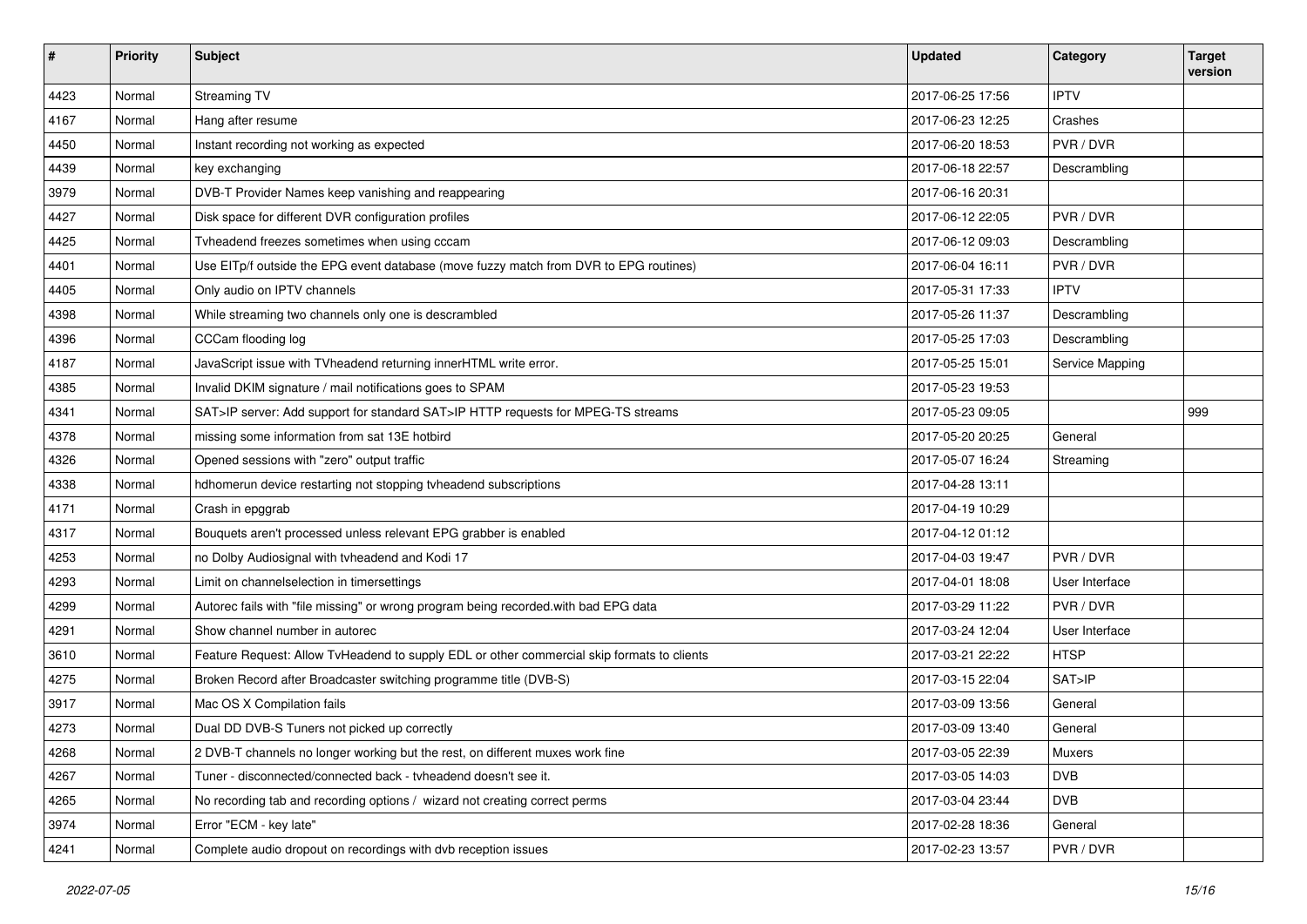| #    | <b>Priority</b> | <b>Subject</b>                                                                             | <b>Updated</b>   | Category        | <b>Target</b><br>version |
|------|-----------------|--------------------------------------------------------------------------------------------|------------------|-----------------|--------------------------|
| 4423 | Normal          | Streaming TV                                                                               | 2017-06-25 17:56 | <b>IPTV</b>     |                          |
| 4167 | Normal          | Hang after resume                                                                          | 2017-06-23 12:25 | Crashes         |                          |
| 4450 | Normal          | Instant recording not working as expected                                                  | 2017-06-20 18:53 | PVR / DVR       |                          |
| 4439 | Normal          | key exchanging                                                                             | 2017-06-18 22:57 | Descrambling    |                          |
| 3979 | Normal          | DVB-T Provider Names keep vanishing and reappearing                                        | 2017-06-16 20:31 |                 |                          |
| 4427 | Normal          | Disk space for different DVR configuration profiles                                        | 2017-06-12 22:05 | PVR/DVR         |                          |
| 4425 | Normal          | Tvheadend freezes sometimes when using cccam                                               | 2017-06-12 09:03 | Descrambling    |                          |
| 4401 | Normal          | Use EITp/f outside the EPG event database (move fuzzy match from DVR to EPG routines)      | 2017-06-04 16:11 | PVR / DVR       |                          |
| 4405 | Normal          | Only audio on IPTV channels                                                                | 2017-05-31 17:33 | <b>IPTV</b>     |                          |
| 4398 | Normal          | While streaming two channels only one is descrambled                                       | 2017-05-26 11:37 | Descrambling    |                          |
| 4396 | Normal          | CCCam flooding log                                                                         | 2017-05-25 17:03 | Descrambling    |                          |
| 4187 | Normal          | JavaScript issue with TVheadend returning innerHTML write error.                           | 2017-05-25 15:01 | Service Mapping |                          |
| 4385 | Normal          | Invalid DKIM signature / mail notifications goes to SPAM                                   | 2017-05-23 19:53 |                 |                          |
| 4341 | Normal          | SAT>IP server: Add support for standard SAT>IP HTTP requests for MPEG-TS streams           | 2017-05-23 09:05 |                 | 999                      |
| 4378 | Normal          | missing some information from sat 13E hotbird                                              | 2017-05-20 20:25 | General         |                          |
| 4326 | Normal          | Opened sessions with "zero" output traffic                                                 | 2017-05-07 16:24 | Streaming       |                          |
| 4338 | Normal          | hdhomerun device restarting not stopping tvheadend subscriptions                           | 2017-04-28 13:11 |                 |                          |
| 4171 | Normal          | Crash in epggrab                                                                           | 2017-04-19 10:29 |                 |                          |
| 4317 | Normal          | Bouquets aren't processed unless relevant EPG grabber is enabled                           | 2017-04-12 01:12 |                 |                          |
| 4253 | Normal          | no Dolby Audiosignal with tvheadend and Kodi 17                                            | 2017-04-03 19:47 | PVR / DVR       |                          |
| 4293 | Normal          | Limit on channelselection in timersettings                                                 | 2017-04-01 18:08 | User Interface  |                          |
| 4299 | Normal          | Autorec fails with "file missing" or wrong program being recorded.with bad EPG data        | 2017-03-29 11:22 | PVR / DVR       |                          |
| 4291 | Normal          | Show channel number in autorec                                                             | 2017-03-24 12:04 | User Interface  |                          |
| 3610 | Normal          | Feature Request: Allow TvHeadend to supply EDL or other commercial skip formats to clients | 2017-03-21 22:22 | <b>HTSP</b>     |                          |
| 4275 | Normal          | Broken Record after Broadcaster switching programme title (DVB-S)                          | 2017-03-15 22:04 | SAT>IP          |                          |
| 3917 | Normal          | Mac OS X Compilation fails                                                                 | 2017-03-09 13:56 | General         |                          |
| 4273 | Normal          | Dual DD DVB-S Tuners not picked up correctly                                               | 2017-03-09 13:40 | General         |                          |
| 4268 | Normal          | 2 DVB-T channels no longer working but the rest, on different muxes work fine              | 2017-03-05 22:39 | Muxers          |                          |
| 4267 | Normal          | Tuner - disconnected/connected back - tvheadend doesn't see it.                            | 2017-03-05 14:03 | <b>DVB</b>      |                          |
| 4265 | Normal          | No recording tab and recording options / wizard not creating correct perms                 | 2017-03-04 23:44 | <b>DVB</b>      |                          |
| 3974 | Normal          | Error "ECM - key late"                                                                     | 2017-02-28 18:36 | General         |                          |
| 4241 | Normal          | Complete audio dropout on recordings with dvb reception issues                             | 2017-02-23 13:57 | PVR / DVR       |                          |